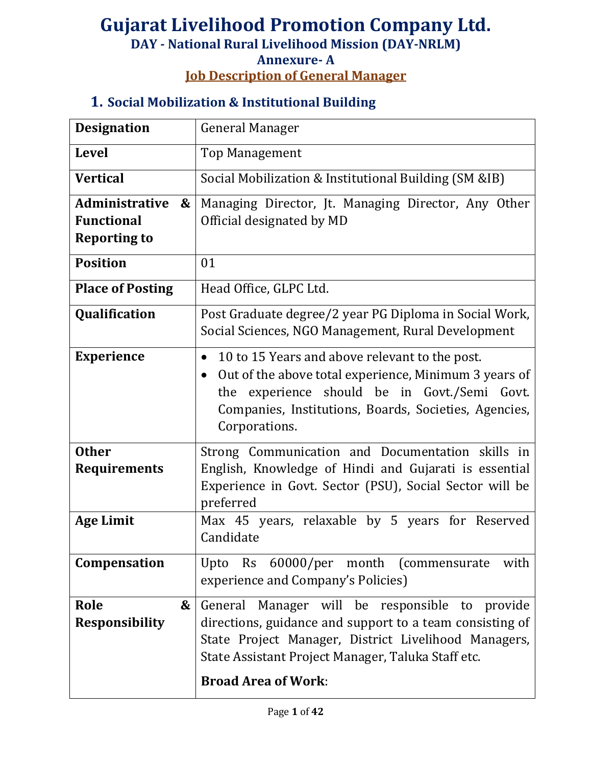#### **Job Description of General Manager**

## **1. Social Mobilization & Institutional Building**

| <b>Designation</b>                                                              | <b>General Manager</b>                                                                                                                                                                                                                                          |
|---------------------------------------------------------------------------------|-----------------------------------------------------------------------------------------------------------------------------------------------------------------------------------------------------------------------------------------------------------------|
| <b>Level</b>                                                                    | <b>Top Management</b>                                                                                                                                                                                                                                           |
| <b>Vertical</b>                                                                 | Social Mobilization & Institutional Building (SM &IB)                                                                                                                                                                                                           |
| Administrative<br>$\boldsymbol{\&}$<br><b>Functional</b><br><b>Reporting to</b> | Managing Director, Jt. Managing Director, Any Other<br>Official designated by MD                                                                                                                                                                                |
| <b>Position</b>                                                                 | 01                                                                                                                                                                                                                                                              |
| <b>Place of Posting</b>                                                         | Head Office, GLPC Ltd.                                                                                                                                                                                                                                          |
| Qualification                                                                   | Post Graduate degree/2 year PG Diploma in Social Work,<br>Social Sciences, NGO Management, Rural Development                                                                                                                                                    |
| <b>Experience</b>                                                               | 10 to 15 Years and above relevant to the post.<br>$\bullet$<br>Out of the above total experience, Minimum 3 years of<br>$\bullet$<br>experience should be in Govt./Semi Govt.<br>the<br>Companies, Institutions, Boards, Societies, Agencies,<br>Corporations.  |
| <b>Other</b><br><b>Requirements</b><br><b>Age Limit</b>                         | Strong Communication and Documentation skills in<br>English, Knowledge of Hindi and Gujarati is essential<br>Experience in Govt. Sector (PSU), Social Sector will be<br>preferred<br>Max 45 years, relaxable by 5 years for Reserved                            |
|                                                                                 | Candidate                                                                                                                                                                                                                                                       |
| Compensation                                                                    | Rs 60000/per month (commensurate<br>with<br>Upto<br>experience and Company's Policies)                                                                                                                                                                          |
| Role<br>&<br><b>Responsibility</b>                                              | General<br>Manager will be responsible<br>provide<br>to<br>directions, guidance and support to a team consisting of<br>State Project Manager, District Livelihood Managers,<br>State Assistant Project Manager, Taluka Staff etc.<br><b>Broad Area of Work:</b> |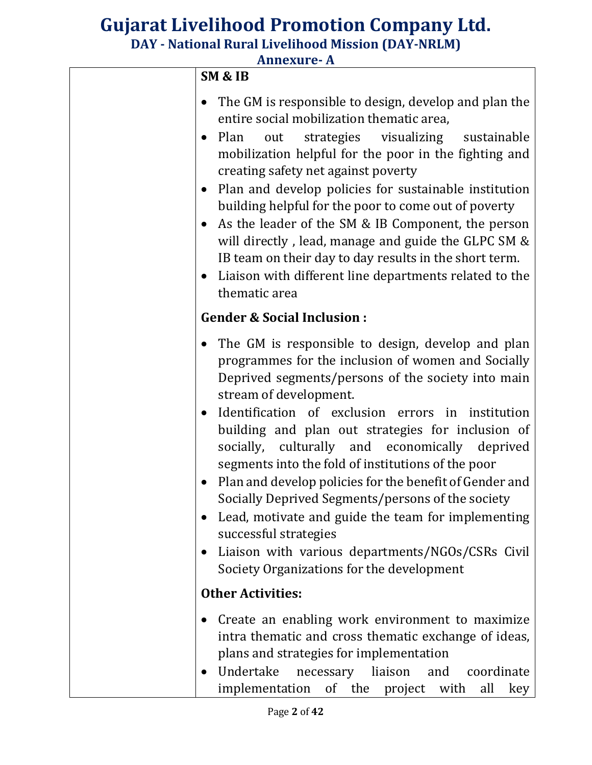| <b>Annexure- A</b> |  |
|--------------------|--|
|--------------------|--|

| <b>SM &amp; IB</b>                                                                                                                                                                                                                                                                                                                                                                                                                                                                                                                                                                                                                                                                                                                               |
|--------------------------------------------------------------------------------------------------------------------------------------------------------------------------------------------------------------------------------------------------------------------------------------------------------------------------------------------------------------------------------------------------------------------------------------------------------------------------------------------------------------------------------------------------------------------------------------------------------------------------------------------------------------------------------------------------------------------------------------------------|
| The GM is responsible to design, develop and plan the<br>entire social mobilization thematic area,<br>strategies visualizing sustainable<br>Plan<br>out<br>$\bullet$<br>mobilization helpful for the poor in the fighting and<br>creating safety net against poverty<br>Plan and develop policies for sustainable institution<br>building helpful for the poor to come out of poverty<br>As the leader of the SM & IB Component, the person<br>will directly, lead, manage and guide the GLPC SM &<br>IB team on their day to day results in the short term.<br>Liaison with different line departments related to the<br>thematic area                                                                                                          |
| <b>Gender &amp; Social Inclusion:</b>                                                                                                                                                                                                                                                                                                                                                                                                                                                                                                                                                                                                                                                                                                            |
| The GM is responsible to design, develop and plan<br>programmes for the inclusion of women and Socially<br>Deprived segments/persons of the society into main<br>stream of development.<br>Identification of exclusion errors in institution<br>$\bullet$<br>building and plan out strategies for inclusion of<br>socially, culturally and economically deprived<br>segments into the fold of institutions of the poor<br>Plan and develop policies for the benefit of Gender and<br>Socially Deprived Segments/persons of the society<br>Lead, motivate and guide the team for implementing<br>$\bullet$<br>successful strategies<br>Liaison with various departments/NGOs/CSRs Civil<br>$\bullet$<br>Society Organizations for the development |
| <b>Other Activities:</b>                                                                                                                                                                                                                                                                                                                                                                                                                                                                                                                                                                                                                                                                                                                         |
| Create an enabling work environment to maximize<br>$\bullet$<br>intra thematic and cross thematic exchange of ideas,<br>plans and strategies for implementation<br>Undertake<br>necessary liaison<br>and<br>coordinate<br>$\bullet$<br>implementation of the project<br>with<br>all<br>key                                                                                                                                                                                                                                                                                                                                                                                                                                                       |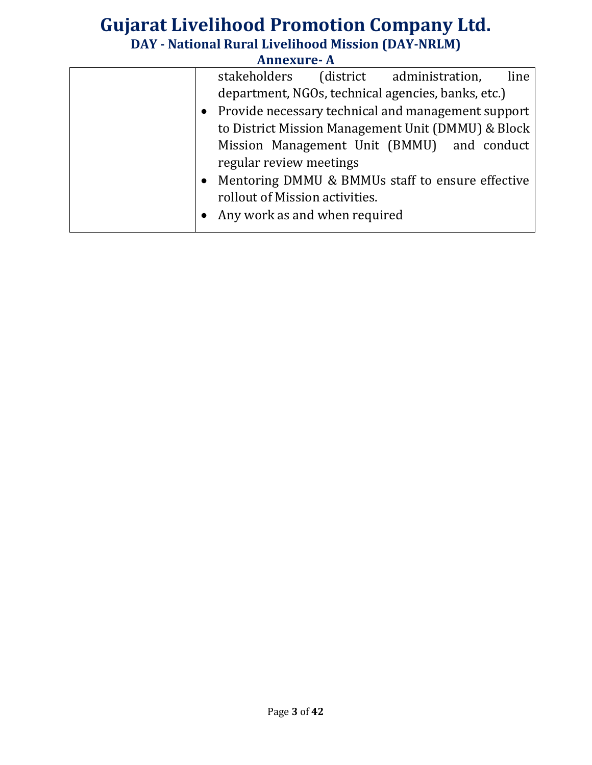|  |                                 | I MIHLAUI LAI |                                                      |      |
|--|---------------------------------|---------------|------------------------------------------------------|------|
|  |                                 |               | stakeholders (district administration,               | line |
|  |                                 |               | department, NGOs, technical agencies, banks, etc.)   |      |
|  |                                 |               | • Provide necessary technical and management support |      |
|  |                                 |               | to District Mission Management Unit (DMMU) & Block   |      |
|  |                                 |               | Mission Management Unit (BMMU) and conduct           |      |
|  | regular review meetings         |               |                                                      |      |
|  |                                 |               | • Mentoring DMMU & BMMUs staff to ensure effective   |      |
|  | rollout of Mission activities.  |               |                                                      |      |
|  | • Any work as and when required |               |                                                      |      |
|  |                                 |               |                                                      |      |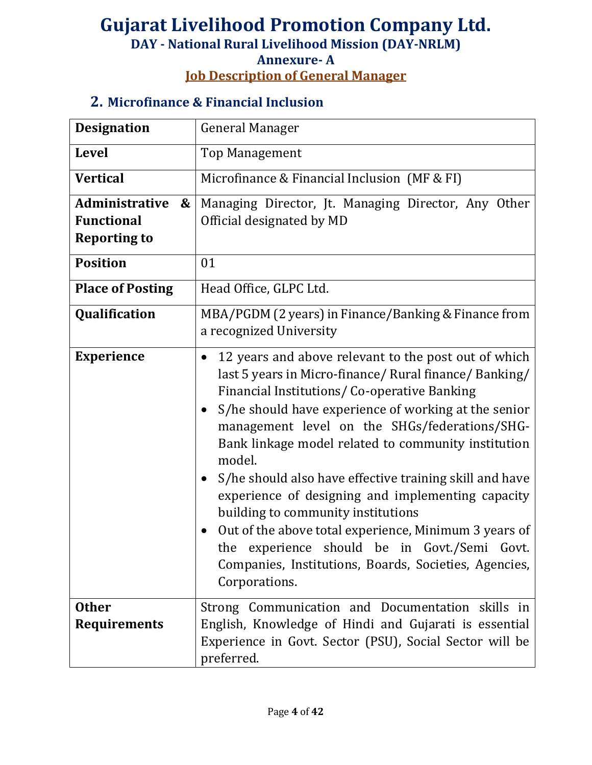# **Annexure- A**

**Job Description of General Manager**

#### **2. Microfinance & Financial Inclusion**

| <b>Designation</b>                                                              | <b>General Manager</b>                                                                                                                                                                                                                                                                                                                                                                                                                                                                                                                                                                                                                                                                                         |  |  |
|---------------------------------------------------------------------------------|----------------------------------------------------------------------------------------------------------------------------------------------------------------------------------------------------------------------------------------------------------------------------------------------------------------------------------------------------------------------------------------------------------------------------------------------------------------------------------------------------------------------------------------------------------------------------------------------------------------------------------------------------------------------------------------------------------------|--|--|
| <b>Level</b>                                                                    | <b>Top Management</b>                                                                                                                                                                                                                                                                                                                                                                                                                                                                                                                                                                                                                                                                                          |  |  |
| <b>Vertical</b>                                                                 | Microfinance & Financial Inclusion (MF & FI)                                                                                                                                                                                                                                                                                                                                                                                                                                                                                                                                                                                                                                                                   |  |  |
| Administrative<br>$\boldsymbol{\&}$<br><b>Functional</b><br><b>Reporting to</b> | Managing Director, Jt. Managing Director, Any Other<br>Official designated by MD                                                                                                                                                                                                                                                                                                                                                                                                                                                                                                                                                                                                                               |  |  |
| <b>Position</b>                                                                 | 01                                                                                                                                                                                                                                                                                                                                                                                                                                                                                                                                                                                                                                                                                                             |  |  |
| <b>Place of Posting</b>                                                         | Head Office, GLPC Ltd.                                                                                                                                                                                                                                                                                                                                                                                                                                                                                                                                                                                                                                                                                         |  |  |
| Qualification                                                                   | MBA/PGDM (2 years) in Finance/Banking & Finance from<br>a recognized University                                                                                                                                                                                                                                                                                                                                                                                                                                                                                                                                                                                                                                |  |  |
| <b>Experience</b>                                                               | 12 years and above relevant to the post out of which<br>$\bullet$<br>last 5 years in Micro-finance/ Rural finance/ Banking/<br>Financial Institutions/ Co-operative Banking<br>S/he should have experience of working at the senior<br>$\bullet$<br>management level on the SHGs/federations/SHG-<br>Bank linkage model related to community institution<br>model.<br>S/he should also have effective training skill and have<br>experience of designing and implementing capacity<br>building to community institutions<br>Out of the above total experience, Minimum 3 years of<br>experience should be in Govt./Semi Govt.<br>the<br>Companies, Institutions, Boards, Societies, Agencies,<br>Corporations. |  |  |
| <b>Other</b><br><b>Requirements</b>                                             | Strong Communication and Documentation skills in<br>English, Knowledge of Hindi and Gujarati is essential<br>Experience in Govt. Sector (PSU), Social Sector will be<br>preferred.                                                                                                                                                                                                                                                                                                                                                                                                                                                                                                                             |  |  |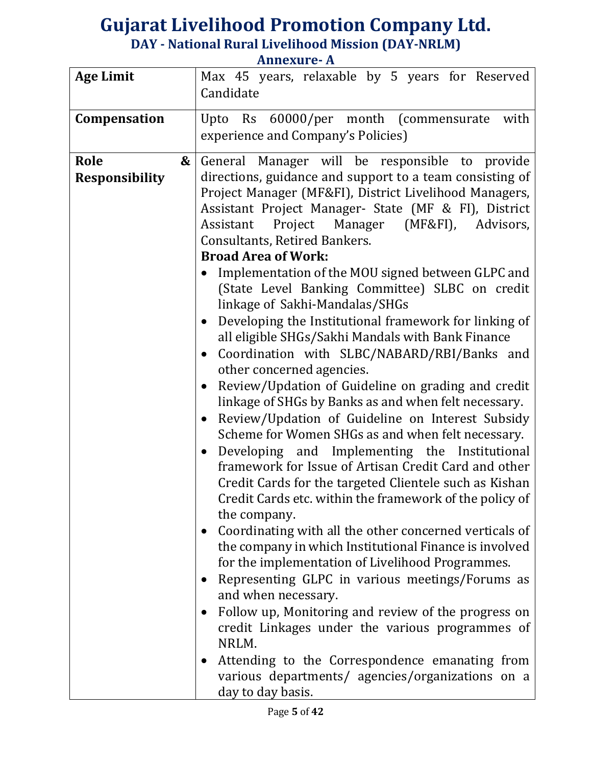|                                           | THREAGLE II                                                                                                                                                                                                                                                                                                                                                                                                                                                                                                                                                                                                                                                              |
|-------------------------------------------|--------------------------------------------------------------------------------------------------------------------------------------------------------------------------------------------------------------------------------------------------------------------------------------------------------------------------------------------------------------------------------------------------------------------------------------------------------------------------------------------------------------------------------------------------------------------------------------------------------------------------------------------------------------------------|
| <b>Age Limit</b>                          | Max 45 years, relaxable by 5 years for Reserved<br>Candidate                                                                                                                                                                                                                                                                                                                                                                                                                                                                                                                                                                                                             |
| Compensation                              | Upto Rs 60000/per month (commensurate<br>with<br>experience and Company's Policies)                                                                                                                                                                                                                                                                                                                                                                                                                                                                                                                                                                                      |
| <b>Role</b><br>&<br><b>Responsibility</b> | General Manager will be responsible to provide<br>directions, guidance and support to a team consisting of<br>Project Manager (MF&FI), District Livelihood Managers,<br>Assistant Project Manager- State (MF & FI), District<br>Assistant Project Manager (MF&FI),<br>Advisors,<br>Consultants, Retired Bankers.<br><b>Broad Area of Work:</b><br>Implementation of the MOU signed between GLPC and<br>(State Level Banking Committee) SLBC on credit                                                                                                                                                                                                                    |
|                                           | linkage of Sakhi-Mandalas/SHGs<br>Developing the Institutional framework for linking of<br>$\bullet$<br>all eligible SHGs/Sakhi Mandals with Bank Finance<br>Coordination with SLBC/NABARD/RBI/Banks and<br>$\bullet$<br>other concerned agencies.<br>Review/Updation of Guideline on grading and credit<br>$\bullet$<br>linkage of SHGs by Banks as and when felt necessary.<br>Review/Updation of Guideline on Interest Subsidy<br>$\bullet$<br>Scheme for Women SHGs as and when felt necessary.<br>Developing and Implementing the Institutional<br>framework for Issue of Artisan Credit Card and other                                                             |
|                                           | Credit Cards for the targeted Clientele such as Kishan<br>Credit Cards etc. within the framework of the policy of<br>the company.<br>Coordinating with all the other concerned verticals of<br>$\bullet$<br>the company in which Institutional Finance is involved<br>for the implementation of Livelihood Programmes.<br>Representing GLPC in various meetings/Forums as<br>$\bullet$<br>and when necessary.<br>Follow up, Monitoring and review of the progress on<br>$\bullet$<br>credit Linkages under the various programmes of<br>NRLM.<br>Attending to the Correspondence emanating from<br>various departments/ agencies/organizations on a<br>day to day basis. |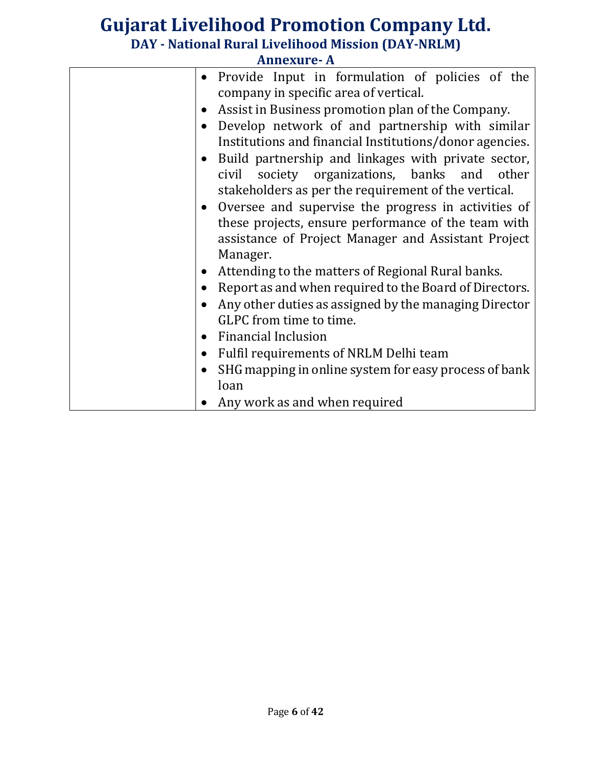|           | <b>Annexure-A</b>                                       |
|-----------|---------------------------------------------------------|
| $\bullet$ | Provide Input in formulation of policies of the         |
|           | company in specific area of vertical.                   |
| $\bullet$ | Assist in Business promotion plan of the Company.       |
| $\bullet$ | Develop network of and partnership with similar         |
|           | Institutions and financial Institutions/donor agencies. |
| $\bullet$ | Build partnership and linkages with private sector,     |
|           | civil society organizations, banks and other            |
|           | stakeholders as per the requirement of the vertical.    |
| $\bullet$ | Oversee and supervise the progress in activities of     |
|           | these projects, ensure performance of the team with     |
|           | assistance of Project Manager and Assistant Project     |
|           | Manager.                                                |
| $\bullet$ | Attending to the matters of Regional Rural banks.       |
| $\bullet$ | Report as and when required to the Board of Directors.  |
|           | Any other duties as assigned by the managing Director   |
|           | GLPC from time to time.                                 |
| $\bullet$ | <b>Financial Inclusion</b>                              |
| $\bullet$ | Fulfil requirements of NRLM Delhi team                  |
|           | SHG mapping in online system for easy process of bank   |
|           | loan                                                    |
|           | Any work as and when required                           |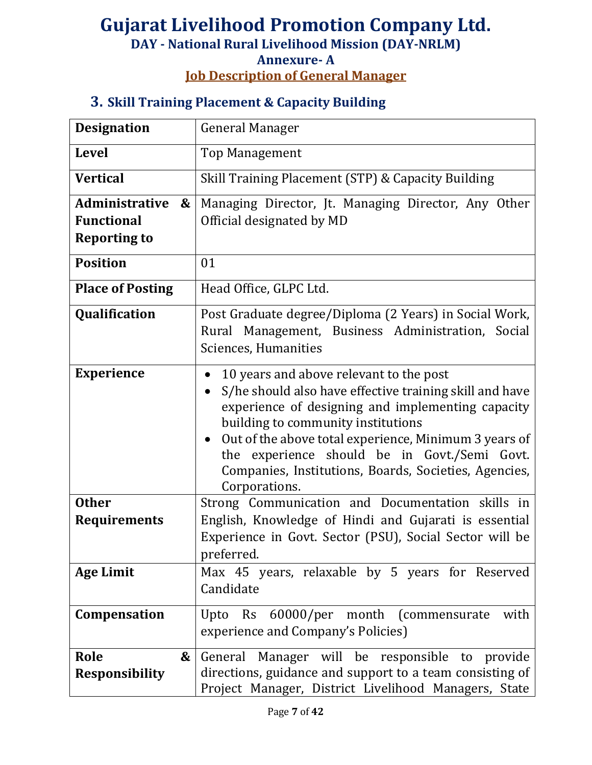#### **Annexure- A**

**Job Description of General Manager**

#### **3. Skill Training Placement & Capacity Building**

| <b>Designation</b>                                                              | <b>General Manager</b>                                                                                                                                                                                                                                                                                                                                                                        |
|---------------------------------------------------------------------------------|-----------------------------------------------------------------------------------------------------------------------------------------------------------------------------------------------------------------------------------------------------------------------------------------------------------------------------------------------------------------------------------------------|
| <b>Level</b>                                                                    | <b>Top Management</b>                                                                                                                                                                                                                                                                                                                                                                         |
| <b>Vertical</b>                                                                 | Skill Training Placement (STP) & Capacity Building                                                                                                                                                                                                                                                                                                                                            |
| Administrative<br>$\boldsymbol{\&}$<br><b>Functional</b><br><b>Reporting to</b> | Managing Director, Jt. Managing Director, Any Other<br>Official designated by MD                                                                                                                                                                                                                                                                                                              |
| <b>Position</b>                                                                 | 01                                                                                                                                                                                                                                                                                                                                                                                            |
| <b>Place of Posting</b>                                                         | Head Office, GLPC Ltd.                                                                                                                                                                                                                                                                                                                                                                        |
| Qualification                                                                   | Post Graduate degree/Diploma (2 Years) in Social Work,<br>Rural Management, Business Administration, Social<br>Sciences, Humanities                                                                                                                                                                                                                                                           |
| <b>Experience</b>                                                               | 10 years and above relevant to the post<br>S/he should also have effective training skill and have<br>experience of designing and implementing capacity<br>building to community institutions<br>Out of the above total experience, Minimum 3 years of<br>$\bullet$<br>the experience should be in Govt./Semi Govt.<br>Companies, Institutions, Boards, Societies, Agencies,<br>Corporations. |
| <b>Other</b>                                                                    | Strong Communication and Documentation skills in                                                                                                                                                                                                                                                                                                                                              |
| <b>Requirements</b>                                                             | English, Knowledge of Hindi and Gujarati is essential<br>Experience in Govt. Sector (PSU), Social Sector will be<br>preferred.                                                                                                                                                                                                                                                                |
| <b>Age Limit</b>                                                                | Max 45 years, relaxable by 5 years for Reserved<br>Candidate                                                                                                                                                                                                                                                                                                                                  |
| Compensation                                                                    | Upto Rs 60000/per month (commensurate with<br>experience and Company's Policies)                                                                                                                                                                                                                                                                                                              |
| Role<br>&<br><b>Responsibility</b>                                              | General Manager will be responsible to provide<br>directions, guidance and support to a team consisting of<br>Project Manager, District Livelihood Managers, State                                                                                                                                                                                                                            |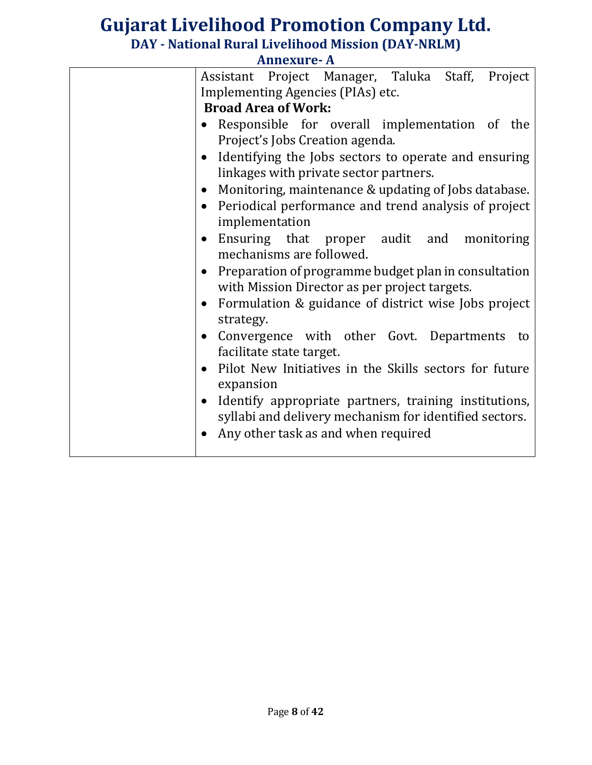| Assistant Project Manager, Taluka Staff, Project                                                                   |
|--------------------------------------------------------------------------------------------------------------------|
| Implementing Agencies (PIAs) etc.                                                                                  |
| <b>Broad Area of Work:</b>                                                                                         |
| • Responsible for overall implementation of the<br>Project's Jobs Creation agenda.                                 |
| • Identifying the Jobs sectors to operate and ensuring<br>linkages with private sector partners.                   |
| Monitoring, maintenance & updating of Jobs database.<br>$\bullet$                                                  |
| Periodical performance and trend analysis of project<br>$\bullet$<br>implementation                                |
| • Ensuring that proper audit and monitoring<br>mechanisms are followed.                                            |
| Preparation of programme budget plan in consultation<br>$\bullet$<br>with Mission Director as per project targets. |
| Formulation & guidance of district wise Jobs project<br>$\bullet$<br>strategy.                                     |
| Convergence with other Govt. Departments to<br>$\bullet$<br>facilitate state target.                               |
|                                                                                                                    |
| Pilot New Initiatives in the Skills sectors for future<br>$\bullet$<br>expansion                                   |
| Identify appropriate partners, training institutions,<br>$\bullet$                                                 |
| syllabi and delivery mechanism for identified sectors.                                                             |
| Any other task as and when required<br>$\bullet$                                                                   |
|                                                                                                                    |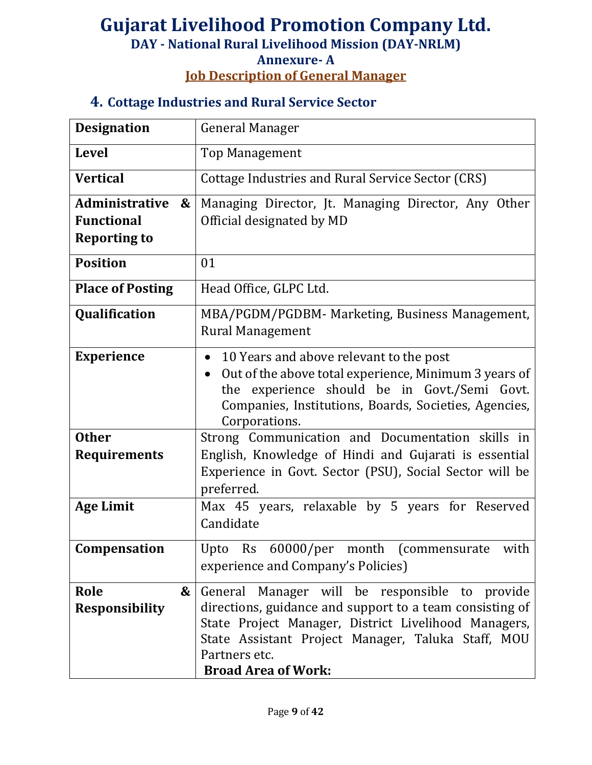#### **Job Description of General Manager**

#### **4. Cottage Industries and Rural Service Sector**

| <b>Designation</b>                  | <b>General Manager</b>                                                                                                                                                                                                                  |
|-------------------------------------|-----------------------------------------------------------------------------------------------------------------------------------------------------------------------------------------------------------------------------------------|
| <b>Level</b>                        | <b>Top Management</b>                                                                                                                                                                                                                   |
| <b>Vertical</b>                     | <b>Cottage Industries and Rural Service Sector (CRS)</b>                                                                                                                                                                                |
| Administrative<br>$\boldsymbol{\&}$ | Managing Director, Jt. Managing Director, Any Other                                                                                                                                                                                     |
| <b>Functional</b>                   | Official designated by MD                                                                                                                                                                                                               |
| <b>Reporting to</b>                 |                                                                                                                                                                                                                                         |
| <b>Position</b>                     | 01                                                                                                                                                                                                                                      |
| <b>Place of Posting</b>             | Head Office, GLPC Ltd.                                                                                                                                                                                                                  |
| Qualification                       | MBA/PGDM/PGDBM- Marketing, Business Management,<br><b>Rural Management</b>                                                                                                                                                              |
| <b>Experience</b>                   | 10 Years and above relevant to the post<br>Out of the above total experience, Minimum 3 years of<br>$\bullet$<br>the experience should be in Govt./Semi Govt.<br>Companies, Institutions, Boards, Societies, Agencies,<br>Corporations. |
| <b>Other</b>                        | Strong Communication and Documentation skills in                                                                                                                                                                                        |
| <b>Requirements</b>                 | English, Knowledge of Hindi and Gujarati is essential                                                                                                                                                                                   |
|                                     | Experience in Govt. Sector (PSU), Social Sector will be                                                                                                                                                                                 |
| <b>Age Limit</b>                    | preferred.<br>Max 45 years, relaxable by 5 years for Reserved                                                                                                                                                                           |
|                                     | Candidate                                                                                                                                                                                                                               |
| Compensation                        | Upto Rs 60000/per month (commensurate<br>with<br>experience and Company's Policies)                                                                                                                                                     |
| Role<br>$\boldsymbol{\&}$           | General Manager will be responsible to provide                                                                                                                                                                                          |
| <b>Responsibility</b>               | directions, guidance and support to a team consisting of<br>State Project Manager, District Livelihood Managers,<br>State Assistant Project Manager, Taluka Staff, MOU                                                                  |
|                                     | Partners etc.                                                                                                                                                                                                                           |
|                                     | <b>Broad Area of Work:</b>                                                                                                                                                                                                              |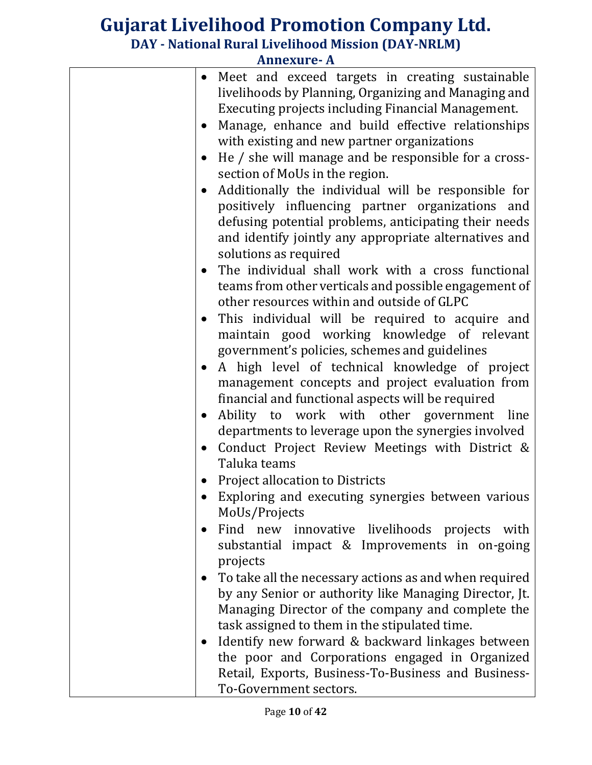|           | AINICXUI C- A                                                                                                                                                 |
|-----------|---------------------------------------------------------------------------------------------------------------------------------------------------------------|
| $\bullet$ | Meet and exceed targets in creating sustainable<br>livelihoods by Planning, Organizing and Managing and<br>Executing projects including Financial Management. |
|           | Manage, enhance and build effective relationships                                                                                                             |
|           | with existing and new partner organizations                                                                                                                   |
|           | He / she will manage and be responsible for a cross-                                                                                                          |
|           | section of MoUs in the region.                                                                                                                                |
| $\bullet$ | Additionally the individual will be responsible for                                                                                                           |
|           | positively influencing partner organizations and                                                                                                              |
|           | defusing potential problems, anticipating their needs<br>and identify jointly any appropriate alternatives and                                                |
|           | solutions as required                                                                                                                                         |
|           | The individual shall work with a cross functional<br>teams from other verticals and possible engagement of<br>other resources within and outside of GLPC      |
| $\bullet$ | This individual will be required to acquire and                                                                                                               |
|           | maintain good working knowledge of relevant                                                                                                                   |
|           | government's policies, schemes and guidelines                                                                                                                 |
|           | A high level of technical knowledge of project                                                                                                                |
|           | management concepts and project evaluation from                                                                                                               |
|           | financial and functional aspects will be required                                                                                                             |
|           | Ability to work with other government<br>line                                                                                                                 |
|           | departments to leverage upon the synergies involved                                                                                                           |
|           | Conduct Project Review Meetings with District &                                                                                                               |
|           | Taluka teams                                                                                                                                                  |
|           | <b>Project allocation to Districts</b>                                                                                                                        |
|           | Exploring and executing synergies between various                                                                                                             |
|           | MoUs/Projects                                                                                                                                                 |
|           | Find new innovative livelihoods projects with<br>substantial impact & Improvements in on-going                                                                |
|           | projects                                                                                                                                                      |
|           | To take all the necessary actions as and when required                                                                                                        |
|           | by any Senior or authority like Managing Director, Jt.                                                                                                        |
|           | Managing Director of the company and complete the                                                                                                             |
|           | task assigned to them in the stipulated time.                                                                                                                 |
|           | Identify new forward & backward linkages between                                                                                                              |
|           | the poor and Corporations engaged in Organized                                                                                                                |
|           | Retail, Exports, Business-To-Business and Business-                                                                                                           |
|           | To-Government sectors.                                                                                                                                        |
|           |                                                                                                                                                               |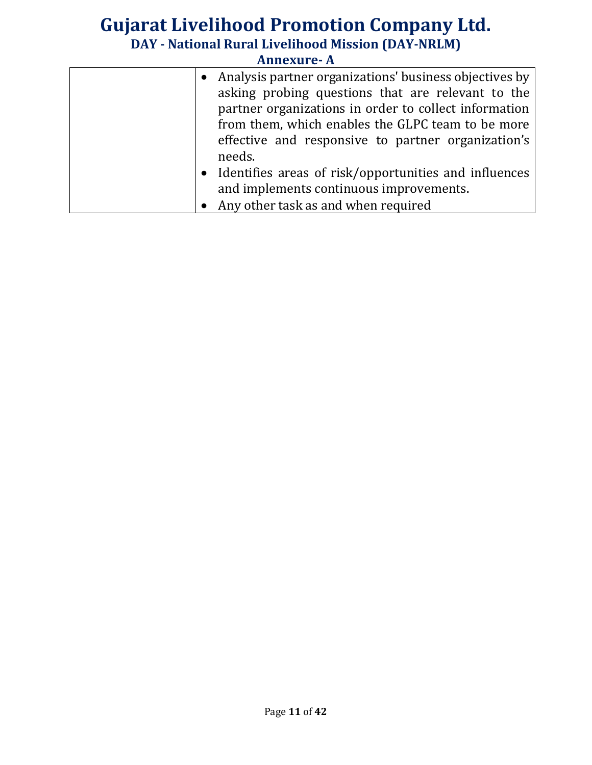|  | • Analysis partner organizations' business objectives by |
|--|----------------------------------------------------------|
|  | asking probing questions that are relevant to the        |
|  | partner organizations in order to collect information    |
|  | from them, which enables the GLPC team to be more        |
|  | effective and responsive to partner organization's       |
|  | needs.                                                   |
|  | • Identifies areas of risk/opportunities and influences  |
|  | and implements continuous improvements.                  |
|  | • Any other task as and when required                    |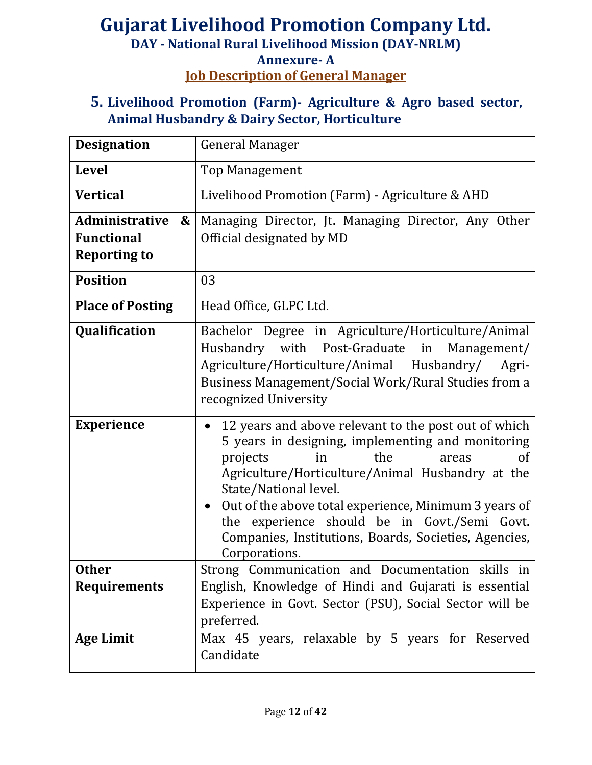# **Gujarat Livelihood Promotion Company Ltd. DAY - National Rural Livelihood Mission (DAY-NRLM) Annexure- A Job Description of General Manager**

**5. Livelihood Promotion (Farm)- Agriculture & Agro based sector, Animal Husbandry & Dairy Sector, Horticulture**

| <b>Designation</b>                                                                     | <b>General Manager</b>                                                                                                                                                                                                                                                                                                                                                                                            |
|----------------------------------------------------------------------------------------|-------------------------------------------------------------------------------------------------------------------------------------------------------------------------------------------------------------------------------------------------------------------------------------------------------------------------------------------------------------------------------------------------------------------|
| <b>Level</b>                                                                           | <b>Top Management</b>                                                                                                                                                                                                                                                                                                                                                                                             |
| <b>Vertical</b>                                                                        | Livelihood Promotion (Farm) - Agriculture & AHD                                                                                                                                                                                                                                                                                                                                                                   |
| <b>Administrative</b><br>$\boldsymbol{\&}$<br><b>Functional</b><br><b>Reporting to</b> | Managing Director, Jt. Managing Director, Any Other<br>Official designated by MD                                                                                                                                                                                                                                                                                                                                  |
| <b>Position</b>                                                                        | 03                                                                                                                                                                                                                                                                                                                                                                                                                |
| <b>Place of Posting</b>                                                                | Head Office, GLPC Ltd.                                                                                                                                                                                                                                                                                                                                                                                            |
| Qualification                                                                          | Bachelor Degree in Agriculture/Horticulture/Animal<br>Husbandry with Post-Graduate in Management/<br>Agriculture/Horticulture/Animal Husbandry/<br>Agri-<br>Business Management/Social Work/Rural Studies from a<br>recognized University                                                                                                                                                                         |
| <b>Experience</b>                                                                      | 12 years and above relevant to the post out of which<br>5 years in designing, implementing and monitoring<br>the<br>of<br>projects<br>in<br>areas<br>Agriculture/Horticulture/Animal Husbandry at the<br>State/National level.<br>Out of the above total experience, Minimum 3 years of<br>the experience should be in Govt./Semi Govt.<br>Companies, Institutions, Boards, Societies, Agencies,<br>Corporations. |
| <b>Other</b><br><b>Requirements</b>                                                    | Strong Communication and Documentation skills in<br>English, Knowledge of Hindi and Gujarati is essential<br>Experience in Govt. Sector (PSU), Social Sector will be<br>preferred.                                                                                                                                                                                                                                |
| <b>Age Limit</b>                                                                       | Max 45 years, relaxable by 5 years for Reserved<br>Candidate                                                                                                                                                                                                                                                                                                                                                      |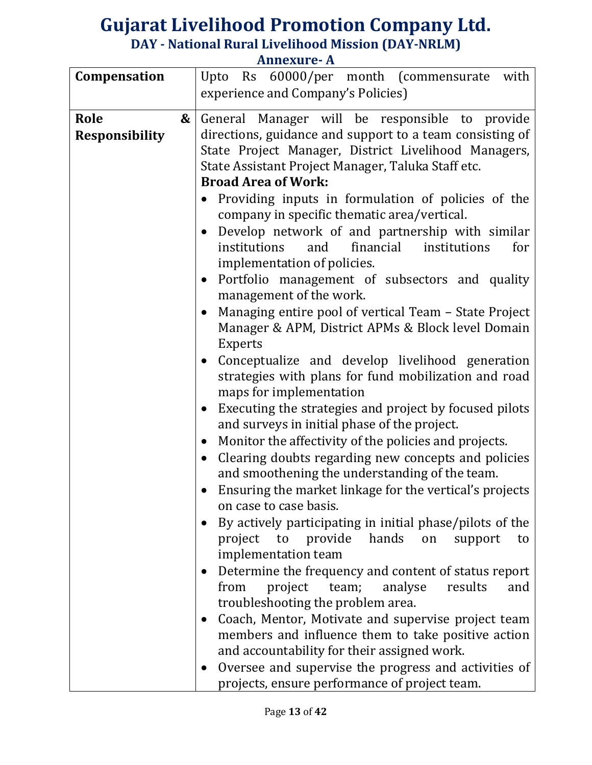| Compensation          | Upto Rs 60000/per month (commensurate<br>with                                                                       |
|-----------------------|---------------------------------------------------------------------------------------------------------------------|
|                       | experience and Company's Policies)                                                                                  |
| Role                  |                                                                                                                     |
| &                     | General Manager will be responsible to provide                                                                      |
| <b>Responsibility</b> | directions, guidance and support to a team consisting of                                                            |
|                       | State Project Manager, District Livelihood Managers,                                                                |
|                       | State Assistant Project Manager, Taluka Staff etc.                                                                  |
|                       | <b>Broad Area of Work:</b>                                                                                          |
|                       | Providing inputs in formulation of policies of the                                                                  |
|                       | company in specific thematic area/vertical.                                                                         |
|                       | Develop network of and partnership with similar<br>$\bullet$                                                        |
|                       | financial<br>institutions<br>institutions<br>and<br>for                                                             |
|                       | implementation of policies.                                                                                         |
|                       | Portfolio management of subsectors and quality<br>$\bullet$                                                         |
|                       | management of the work.                                                                                             |
|                       | Managing entire pool of vertical Team – State Project                                                               |
|                       | Manager & APM, District APMs & Block level Domain                                                                   |
|                       | <b>Experts</b>                                                                                                      |
|                       | Conceptualize and develop livelihood generation                                                                     |
|                       | strategies with plans for fund mobilization and road                                                                |
|                       | maps for implementation                                                                                             |
|                       |                                                                                                                     |
|                       | Executing the strategies and project by focused pilots<br>$\bullet$<br>and surveys in initial phase of the project. |
|                       |                                                                                                                     |
|                       | Monitor the affectivity of the policies and projects.<br>$\bullet$                                                  |
|                       | Clearing doubts regarding new concepts and policies<br>$\bullet$                                                    |
|                       | and smoothening the understanding of the team.                                                                      |
|                       | Ensuring the market linkage for the vertical's projects                                                             |
|                       | on case to case basis.                                                                                              |
|                       | By actively participating in initial phase/pilots of the                                                            |
|                       | project to provide hands<br>on<br>support<br>to                                                                     |
|                       | implementation team                                                                                                 |
|                       | Determine the frequency and content of status report<br>$\bullet$                                                   |
|                       | project team;<br>results<br>from<br>analyse<br>and                                                                  |
|                       | troubleshooting the problem area.                                                                                   |
|                       |                                                                                                                     |
|                       | Coach, Mentor, Motivate and supervise project team<br>$\bullet$                                                     |
|                       | members and influence them to take positive action                                                                  |
|                       | and accountability for their assigned work.                                                                         |
|                       | Oversee and supervise the progress and activities of                                                                |
|                       | projects, ensure performance of project team.                                                                       |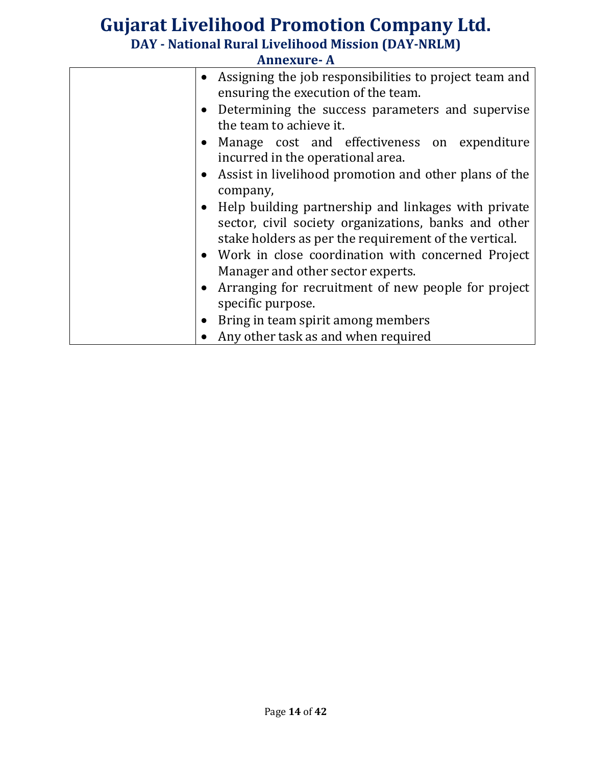| <b>Annexure-A</b> |                                                                                                               |
|-------------------|---------------------------------------------------------------------------------------------------------------|
|                   | • Assigning the job responsibilities to project team and                                                      |
|                   | ensuring the execution of the team.                                                                           |
|                   | • Determining the success parameters and supervise                                                            |
|                   | the team to achieve it.                                                                                       |
|                   | • Manage cost and effectiveness on expenditure                                                                |
|                   | incurred in the operational area.                                                                             |
|                   | Assist in livelihood promotion and other plans of the                                                         |
|                   | company,                                                                                                      |
|                   | • Help building partnership and linkages with private                                                         |
|                   | sector, civil society organizations, banks and other<br>stake holders as per the requirement of the vertical. |
|                   | • Work in close coordination with concerned Project                                                           |
|                   | Manager and other sector experts.                                                                             |
|                   | • Arranging for recruitment of new people for project                                                         |
|                   | specific purpose.                                                                                             |
| $\bullet$         | Bring in team spirit among members                                                                            |
|                   | Any other task as and when required                                                                           |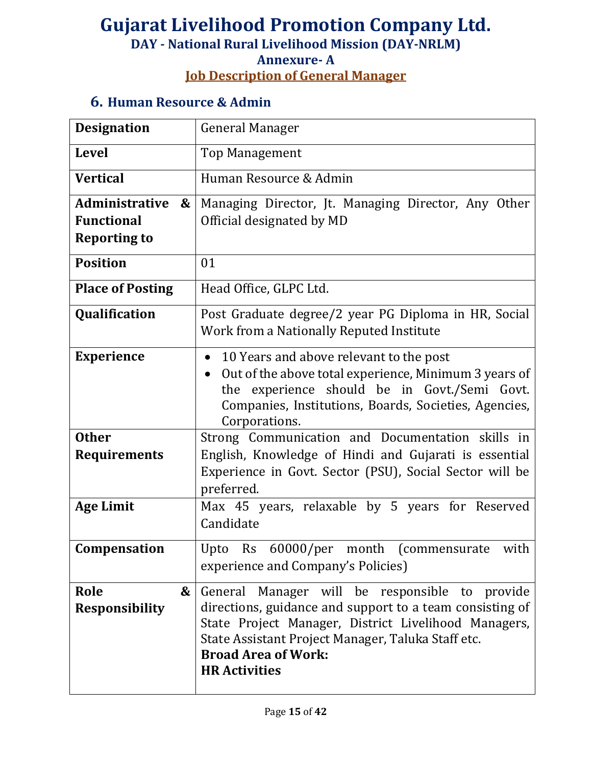# **Job Description of General Manager**

#### **6. Human Resource & Admin**

| <b>Designation</b>                  | <b>General Manager</b>                                                                                                                                                                                                                                                            |
|-------------------------------------|-----------------------------------------------------------------------------------------------------------------------------------------------------------------------------------------------------------------------------------------------------------------------------------|
| <b>Level</b>                        | <b>Top Management</b>                                                                                                                                                                                                                                                             |
| <b>Vertical</b>                     | Human Resource & Admin                                                                                                                                                                                                                                                            |
| <b>Administrative</b><br>&          | Managing Director, Jt. Managing Director, Any Other                                                                                                                                                                                                                               |
| <b>Functional</b>                   | Official designated by MD                                                                                                                                                                                                                                                         |
| <b>Reporting to</b>                 |                                                                                                                                                                                                                                                                                   |
| <b>Position</b>                     | 01                                                                                                                                                                                                                                                                                |
| <b>Place of Posting</b>             | Head Office, GLPC Ltd.                                                                                                                                                                                                                                                            |
| Qualification                       | Post Graduate degree/2 year PG Diploma in HR, Social<br>Work from a Nationally Reputed Institute                                                                                                                                                                                  |
| <b>Experience</b>                   | 10 Years and above relevant to the post<br>$\bullet$<br>Out of the above total experience, Minimum 3 years of<br>$\bullet$<br>the experience should be in Govt./Semi Govt.<br>Companies, Institutions, Boards, Societies, Agencies,<br>Corporations.                              |
| <b>Other</b><br><b>Requirements</b> | Strong Communication and Documentation skills in<br>English, Knowledge of Hindi and Gujarati is essential<br>Experience in Govt. Sector (PSU), Social Sector will be<br>preferred.                                                                                                |
| <b>Age Limit</b>                    | Max 45 years, relaxable by 5 years for Reserved<br>Candidate                                                                                                                                                                                                                      |
| Compensation                        | Upto Rs 60000/per month (commensurate with<br>experience and Company's Policies)                                                                                                                                                                                                  |
| Role<br>&<br><b>Responsibility</b>  | General Manager will be responsible<br>to provide<br>directions, guidance and support to a team consisting of<br>State Project Manager, District Livelihood Managers,<br>State Assistant Project Manager, Taluka Staff etc.<br><b>Broad Area of Work:</b><br><b>HR Activities</b> |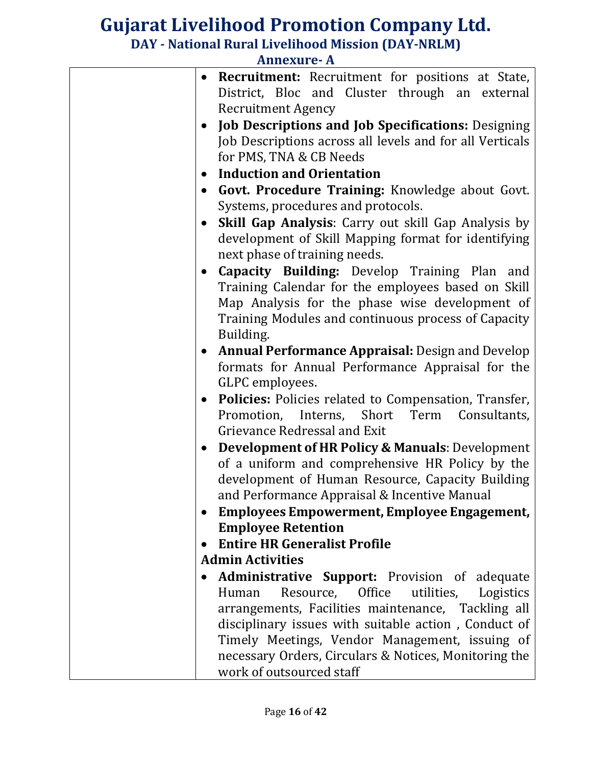| <b>Annexure-A</b> |                                                            |
|-------------------|------------------------------------------------------------|
|                   | <b>Recruitment:</b> Recruitment for positions at State,    |
|                   | District, Bloc and Cluster through an external             |
|                   | <b>Recruitment Agency</b>                                  |
|                   | <b>Job Descriptions and Job Specifications: Designing</b>  |
|                   | Job Descriptions across all levels and for all Verticals   |
|                   | for PMS, TNA & CB Needs                                    |
|                   | <b>Induction and Orientation</b>                           |
|                   | Govt. Procedure Training: Knowledge about Govt.            |
|                   | Systems, procedures and protocols.                         |
|                   | Skill Gap Analysis: Carry out skill Gap Analysis by        |
|                   | development of Skill Mapping format for identifying        |
|                   | next phase of training needs.                              |
| $\bullet$         | Capacity Building: Develop Training Plan and               |
|                   | Training Calendar for the employees based on Skill         |
|                   | Map Analysis for the phase wise development of             |
|                   | Training Modules and continuous process of Capacity        |
|                   | Building.                                                  |
|                   | <b>Annual Performance Appraisal: Design and Develop</b>    |
|                   | formats for Annual Performance Appraisal for the           |
|                   | GLPC employees.                                            |
| $\bullet$         | Policies: Policies related to Compensation, Transfer,      |
|                   | Short<br>Promotion, Interns,<br>Term<br>Consultants,       |
|                   | Grievance Redressal and Exit                               |
| $\bullet$         | <b>Development of HR Policy &amp; Manuals: Development</b> |
|                   | of a uniform and comprehensive HR Policy by the            |
|                   | development of Human Resource, Capacity Building           |
|                   | and Performance Appraisal & Incentive Manual               |
|                   | <b>Employees Empowerment, Employee Engagement,</b>         |
|                   | <b>Employee Retention</b>                                  |
|                   | <b>Entire HR Generalist Profile</b>                        |
|                   | <b>Admin Activities</b>                                    |
|                   | <b>Administrative Support:</b> Provision of adequate       |
|                   | Resource, Office<br>utilities,<br>Logistics<br>Human       |
|                   | arrangements, Facilities maintenance, Tackling all         |
|                   | disciplinary issues with suitable action, Conduct of       |
|                   | Timely Meetings, Vendor Management, issuing of             |
|                   | necessary Orders, Circulars & Notices, Monitoring the      |
|                   | work of outsourced staff                                   |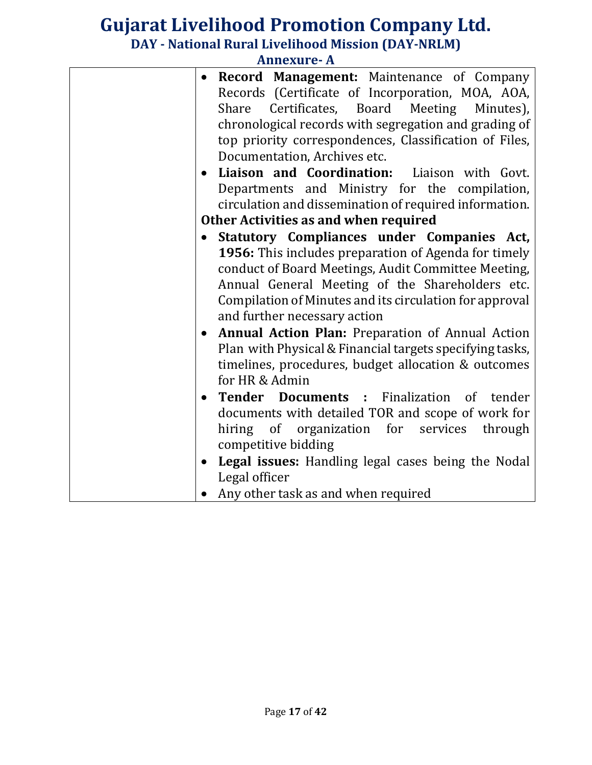| <b>Annexure-A</b> |  |
|-------------------|--|
|-------------------|--|

| $\bullet$ | <b>Record Management:</b> Maintenance of Company              |
|-----------|---------------------------------------------------------------|
|           | Records (Certificate of Incorporation, MOA, AOA,              |
|           | Share Certificates, Board Meeting<br>Minutes),                |
|           | chronological records with segregation and grading of         |
|           | top priority correspondences, Classification of Files,        |
|           | Documentation, Archives etc.                                  |
|           | Liaison and Coordination: Liaison with Govt.<br>$\bullet$     |
|           | Departments and Ministry for the compilation,                 |
|           | circulation and dissemination of required information.        |
|           | Other Activities as and when required                         |
|           | Statutory Compliances under Companies Act,<br>$\bullet$       |
|           | 1956: This includes preparation of Agenda for timely          |
|           | conduct of Board Meetings, Audit Committee Meeting,           |
|           | Annual General Meeting of the Shareholders etc.               |
|           | Compilation of Minutes and its circulation for approval       |
|           | and further necessary action                                  |
|           | Annual Action Plan: Preparation of Annual Action<br>$\bullet$ |
|           | Plan with Physical & Financial targets specifying tasks,      |
|           | timelines, procedures, budget allocation & outcomes           |
|           | for HR & Admin                                                |
|           | <b>Tender Documents:</b> Finalization of tender               |
|           | documents with detailed TOR and scope of work for             |
|           | hiring of organization for services through                   |
|           | competitive bidding                                           |
|           | Legal issues: Handling legal cases being the Nodal            |
|           | Legal officer                                                 |
|           | • Any other task as and when required                         |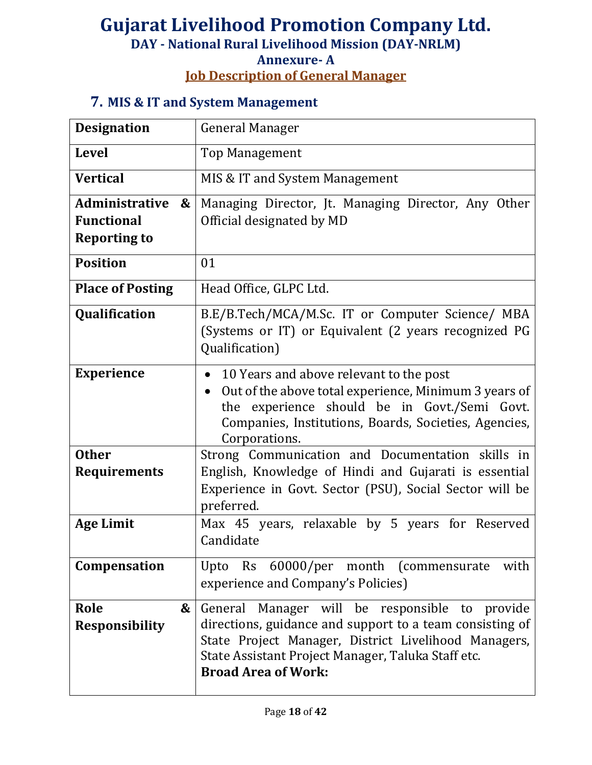#### **Annexure- A Job Description of General Manager**

### **7. MIS & IT and System Management**

| <b>Designation</b>                                                                     | <b>General Manager</b>                                                                                                                                                                                                                                 |
|----------------------------------------------------------------------------------------|--------------------------------------------------------------------------------------------------------------------------------------------------------------------------------------------------------------------------------------------------------|
| <b>Level</b>                                                                           | <b>Top Management</b>                                                                                                                                                                                                                                  |
| <b>Vertical</b>                                                                        | MIS & IT and System Management                                                                                                                                                                                                                         |
| <b>Administrative</b><br>$\boldsymbol{\&}$<br><b>Functional</b><br><b>Reporting to</b> | Managing Director, Jt. Managing Director, Any Other<br>Official designated by MD                                                                                                                                                                       |
| <b>Position</b>                                                                        | 01                                                                                                                                                                                                                                                     |
| <b>Place of Posting</b>                                                                | Head Office, GLPC Ltd.                                                                                                                                                                                                                                 |
| Qualification                                                                          | B.E/B.Tech/MCA/M.Sc. IT or Computer Science/ MBA<br>(Systems or IT) or Equivalent (2 years recognized PG<br>Qualification)                                                                                                                             |
| <b>Experience</b>                                                                      | 10 Years and above relevant to the post<br>$\bullet$<br>Out of the above total experience, Minimum 3 years of<br>the experience should be in Govt./Semi Govt.<br>Companies, Institutions, Boards, Societies, Agencies,<br>Corporations.                |
| <b>Other</b>                                                                           | Strong Communication and Documentation skills in                                                                                                                                                                                                       |
| <b>Requirements</b>                                                                    | English, Knowledge of Hindi and Gujarati is essential<br>Experience in Govt. Sector (PSU), Social Sector will be<br>preferred.                                                                                                                         |
| <b>Age Limit</b>                                                                       | Max 45 years, relaxable by 5 years for Reserved<br>Candidate                                                                                                                                                                                           |
| Compensation                                                                           | Upto Rs 60000/per month (commensurate<br>with<br>experience and Company's Policies)                                                                                                                                                                    |
| Role<br>&<br><b>Responsibility</b>                                                     | General Manager will be responsible to provide<br>directions, guidance and support to a team consisting of<br>State Project Manager, District Livelihood Managers,<br>State Assistant Project Manager, Taluka Staff etc.<br><b>Broad Area of Work:</b> |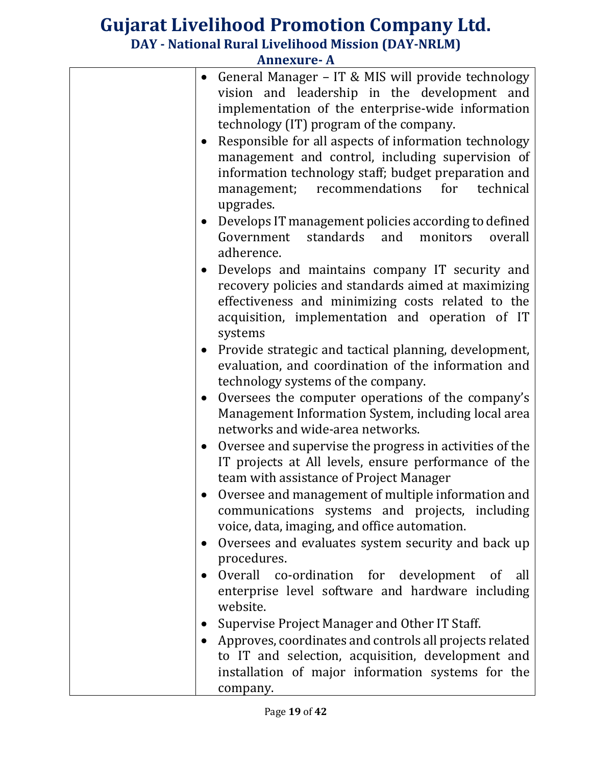|           | • General Manager – IT & MIS will provide technology<br>vision and leadership in the development and<br>implementation of the enterprise-wide information<br>technology (IT) program of the company.<br>Responsible for all aspects of information technology<br>management and control, including supervision of<br>information technology staff; budget preparation and<br>management; recommendations for technical<br>upgrades. |
|-----------|-------------------------------------------------------------------------------------------------------------------------------------------------------------------------------------------------------------------------------------------------------------------------------------------------------------------------------------------------------------------------------------------------------------------------------------|
| $\bullet$ | Develops IT management policies according to defined<br>standards and<br>Government<br>monitors<br>overall<br>adherence.                                                                                                                                                                                                                                                                                                            |
| $\bullet$ | Develops and maintains company IT security and<br>recovery policies and standards aimed at maximizing<br>effectiveness and minimizing costs related to the<br>acquisition, implementation and operation of IT<br>systems                                                                                                                                                                                                            |
| $\bullet$ | Provide strategic and tactical planning, development,<br>evaluation, and coordination of the information and<br>technology systems of the company.                                                                                                                                                                                                                                                                                  |
| $\bullet$ | Oversees the computer operations of the company's<br>Management Information System, including local area<br>networks and wide-area networks.                                                                                                                                                                                                                                                                                        |
| $\bullet$ | Oversee and supervise the progress in activities of the<br>IT projects at All levels, ensure performance of the<br>team with assistance of Project Manager                                                                                                                                                                                                                                                                          |
|           | Oversee and management of multiple information and<br>communications systems and projects, including<br>voice, data, imaging, and office automation.                                                                                                                                                                                                                                                                                |
| $\bullet$ | Oversees and evaluates system security and back up<br>procedures.                                                                                                                                                                                                                                                                                                                                                                   |
|           | Overall co-ordination for development of all<br>enterprise level software and hardware including<br>website.                                                                                                                                                                                                                                                                                                                        |
|           | Supervise Project Manager and Other IT Staff.                                                                                                                                                                                                                                                                                                                                                                                       |
|           | Approves, coordinates and controls all projects related<br>to IT and selection, acquisition, development and<br>installation of major information systems for the<br>company.                                                                                                                                                                                                                                                       |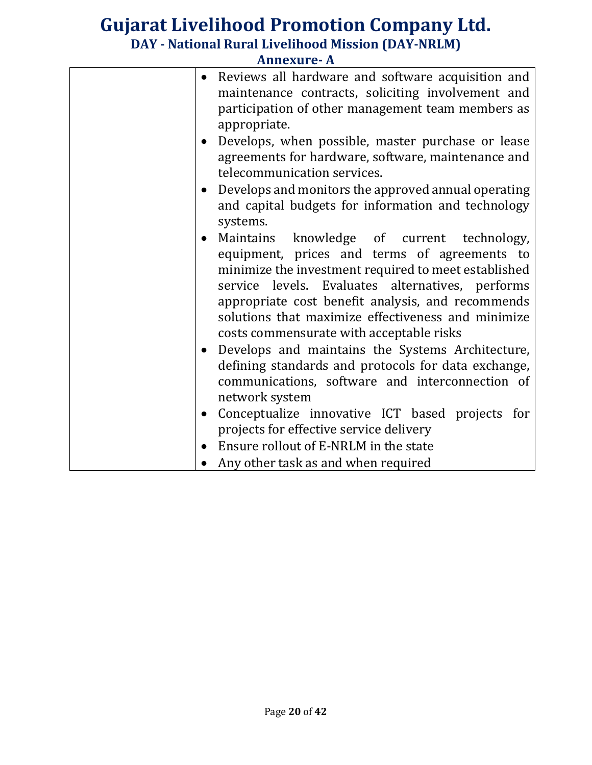|                        | лшсли с- Л                                                                                                                                                                                                                                                                                                                    |
|------------------------|-------------------------------------------------------------------------------------------------------------------------------------------------------------------------------------------------------------------------------------------------------------------------------------------------------------------------------|
| $\bullet$              | Reviews all hardware and software acquisition and<br>maintenance contracts, soliciting involvement and<br>participation of other management team members as<br>appropriate.                                                                                                                                                   |
| $\bullet$<br>$\bullet$ | Develops, when possible, master purchase or lease<br>agreements for hardware, software, maintenance and<br>telecommunication services.<br>Develops and monitors the approved annual operating<br>and capital budgets for information and technology                                                                           |
| $\bullet$              | systems.<br>Maintains knowledge of current technology,<br>equipment, prices and terms of agreements to<br>minimize the investment required to meet established<br>service levels. Evaluates alternatives, performs<br>appropriate cost benefit analysis, and recommends<br>solutions that maximize effectiveness and minimize |
| $\bullet$              | costs commensurate with acceptable risks<br>Develops and maintains the Systems Architecture,<br>defining standards and protocols for data exchange,<br>communications, software and interconnection of<br>network system                                                                                                      |
| $\bullet$<br>$\bullet$ | Conceptualize innovative ICT based projects for<br>projects for effective service delivery<br>Ensure rollout of E-NRLM in the state<br>Any other task as and when required                                                                                                                                                    |
|                        |                                                                                                                                                                                                                                                                                                                               |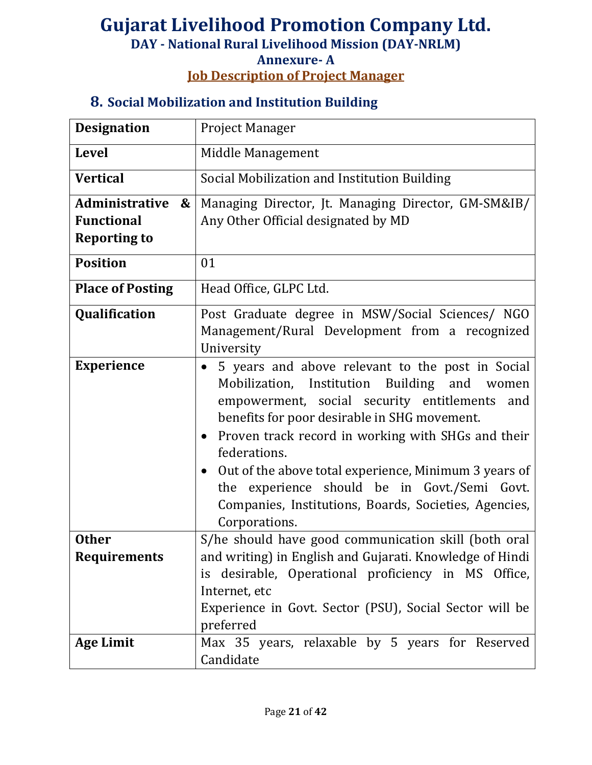## **Job Description of Project Manager**

#### **8. Social Mobilization and Institution Building**

| <b>Designation</b>                  | <b>Project Manager</b>                                                                                                                                                                                                                                                                                                                                                                                                                                                  |
|-------------------------------------|-------------------------------------------------------------------------------------------------------------------------------------------------------------------------------------------------------------------------------------------------------------------------------------------------------------------------------------------------------------------------------------------------------------------------------------------------------------------------|
| <b>Level</b>                        | Middle Management                                                                                                                                                                                                                                                                                                                                                                                                                                                       |
| <b>Vertical</b>                     | Social Mobilization and Institution Building                                                                                                                                                                                                                                                                                                                                                                                                                            |
| Administrative<br>$\boldsymbol{\&}$ | Managing Director, Jt. Managing Director, GM-SM&IB/                                                                                                                                                                                                                                                                                                                                                                                                                     |
| <b>Functional</b>                   | Any Other Official designated by MD                                                                                                                                                                                                                                                                                                                                                                                                                                     |
| <b>Reporting to</b>                 |                                                                                                                                                                                                                                                                                                                                                                                                                                                                         |
| <b>Position</b>                     | 01                                                                                                                                                                                                                                                                                                                                                                                                                                                                      |
| <b>Place of Posting</b>             | Head Office, GLPC Ltd.                                                                                                                                                                                                                                                                                                                                                                                                                                                  |
| Qualification                       | Post Graduate degree in MSW/Social Sciences/ NGO<br>Management/Rural Development from a recognized<br>University                                                                                                                                                                                                                                                                                                                                                        |
| <b>Experience</b>                   | 5 years and above relevant to the post in Social<br>Mobilization, Institution Building and women<br>empowerment, social security entitlements and<br>benefits for poor desirable in SHG movement.<br>Proven track record in working with SHGs and their<br>federations.<br>Out of the above total experience, Minimum 3 years of<br>$\bullet$<br>the experience should be in Govt./Semi Govt.<br>Companies, Institutions, Boards, Societies, Agencies,<br>Corporations. |
| <b>Other</b><br><b>Requirements</b> | S/he should have good communication skill (both oral<br>and writing) in English and Gujarati. Knowledge of Hindi<br>is desirable, Operational proficiency in MS Office,<br>Internet, etc<br>Experience in Govt. Sector (PSU), Social Sector will be<br>preferred                                                                                                                                                                                                        |
| <b>Age Limit</b>                    | Max 35 years, relaxable by 5 years for Reserved<br>Candidate                                                                                                                                                                                                                                                                                                                                                                                                            |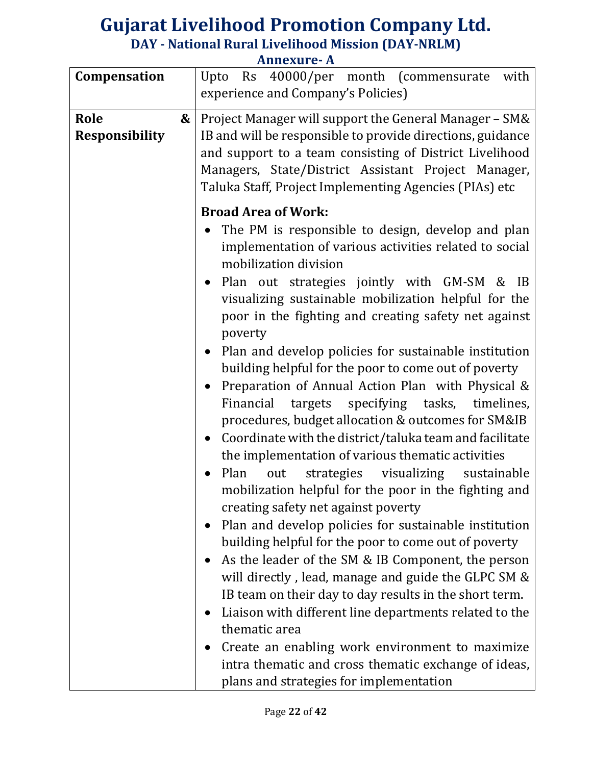|                                    | лшкашс л                                                                                                                                                                                                                                                                                                                                                                                                                                                                                                                                                                                                                                                                                                                                                                                                                                                                                                                                                                                                                                                                                                                                                                                                                                                                                                                                                                                            |
|------------------------------------|-----------------------------------------------------------------------------------------------------------------------------------------------------------------------------------------------------------------------------------------------------------------------------------------------------------------------------------------------------------------------------------------------------------------------------------------------------------------------------------------------------------------------------------------------------------------------------------------------------------------------------------------------------------------------------------------------------------------------------------------------------------------------------------------------------------------------------------------------------------------------------------------------------------------------------------------------------------------------------------------------------------------------------------------------------------------------------------------------------------------------------------------------------------------------------------------------------------------------------------------------------------------------------------------------------------------------------------------------------------------------------------------------------|
| Compensation                       | 40000/per month (commensurate<br>Upto<br>Rs<br>with<br>experience and Company's Policies)                                                                                                                                                                                                                                                                                                                                                                                                                                                                                                                                                                                                                                                                                                                                                                                                                                                                                                                                                                                                                                                                                                                                                                                                                                                                                                           |
| Role<br>&<br><b>Responsibility</b> | Project Manager will support the General Manager - SM&<br>IB and will be responsible to provide directions, guidance<br>and support to a team consisting of District Livelihood<br>Managers, State/District Assistant Project Manager,<br>Taluka Staff, Project Implementing Agencies (PIAs) etc<br><b>Broad Area of Work:</b>                                                                                                                                                                                                                                                                                                                                                                                                                                                                                                                                                                                                                                                                                                                                                                                                                                                                                                                                                                                                                                                                      |
|                                    | The PM is responsible to design, develop and plan<br>implementation of various activities related to social<br>mobilization division<br>Plan out strategies jointly with GM-SM & IB<br>$\bullet$<br>visualizing sustainable mobilization helpful for the<br>poor in the fighting and creating safety net against<br>poverty<br>Plan and develop policies for sustainable institution<br>$\bullet$<br>building helpful for the poor to come out of poverty<br>Preparation of Annual Action Plan with Physical &<br>$\bullet$<br>Financial targets specifying tasks, timelines,<br>procedures, budget allocation & outcomes for SM&IB<br>Coordinate with the district/taluka team and facilitate<br>$\bullet$<br>the implementation of various thematic activities<br>Plan<br>strategies visualizing sustainable<br>out<br>mobilization helpful for the poor in the fighting and<br>creating safety net against poverty<br>Plan and develop policies for sustainable institution<br>building helpful for the poor to come out of poverty<br>As the leader of the SM & IB Component, the person<br>will directly, lead, manage and guide the GLPC SM &<br>IB team on their day to day results in the short term.<br>Liaison with different line departments related to the<br>thematic area<br>Create an enabling work environment to maximize<br>intra thematic and cross thematic exchange of ideas, |
|                                    | plans and strategies for implementation                                                                                                                                                                                                                                                                                                                                                                                                                                                                                                                                                                                                                                                                                                                                                                                                                                                                                                                                                                                                                                                                                                                                                                                                                                                                                                                                                             |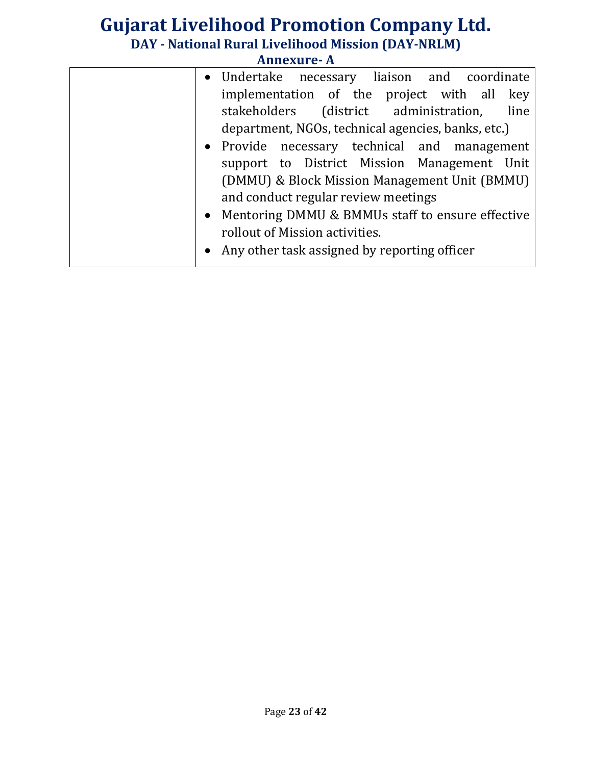| • Undertake necessary liaison and coordinate                  |
|---------------------------------------------------------------|
| implementation of the project with all<br>key                 |
| stakeholders (district administration,<br>line                |
| department, NGOs, technical agencies, banks, etc.)            |
| • Provide necessary technical and management                  |
| support to District Mission Management Unit                   |
| (DMMU) & Block Mission Management Unit (BMMU)                 |
| and conduct regular review meetings                           |
| Mentoring DMMU & BMMUs staff to ensure effective<br>$\bullet$ |
| rollout of Mission activities.                                |
| Any other task assigned by reporting officer                  |
|                                                               |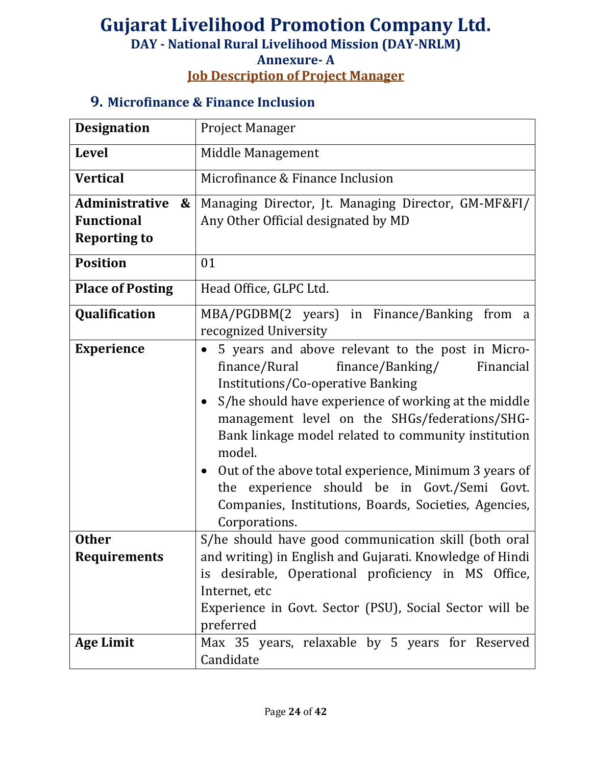# **Gujarat Livelihood Promotion Company Ltd.**

**DAY - National Rural Livelihood Mission (DAY-NRLM)**

**Annexure- A**

**Job Description of Project Manager**

#### **9. Microfinance & Finance Inclusion**

| <b>Designation</b>                         | <b>Project Manager</b>                                                                                                                                                                                                                                                                                                                                                                                                                                                                                                           |
|--------------------------------------------|----------------------------------------------------------------------------------------------------------------------------------------------------------------------------------------------------------------------------------------------------------------------------------------------------------------------------------------------------------------------------------------------------------------------------------------------------------------------------------------------------------------------------------|
| <b>Level</b>                               | Middle Management                                                                                                                                                                                                                                                                                                                                                                                                                                                                                                                |
| <b>Vertical</b>                            | Microfinance & Finance Inclusion                                                                                                                                                                                                                                                                                                                                                                                                                                                                                                 |
| <b>Administrative</b><br>$\boldsymbol{\&}$ | Managing Director, Jt. Managing Director, GM-MF&FI/                                                                                                                                                                                                                                                                                                                                                                                                                                                                              |
| <b>Functional</b>                          | Any Other Official designated by MD                                                                                                                                                                                                                                                                                                                                                                                                                                                                                              |
| <b>Reporting to</b>                        |                                                                                                                                                                                                                                                                                                                                                                                                                                                                                                                                  |
| <b>Position</b>                            | 01                                                                                                                                                                                                                                                                                                                                                                                                                                                                                                                               |
| <b>Place of Posting</b>                    | Head Office, GLPC Ltd.                                                                                                                                                                                                                                                                                                                                                                                                                                                                                                           |
| Qualification                              | MBA/PGDBM(2 years) in Finance/Banking from a<br>recognized University                                                                                                                                                                                                                                                                                                                                                                                                                                                            |
| <b>Experience</b>                          | 5 years and above relevant to the post in Micro-<br>$\bullet$<br>finance/Rural<br>finance/Banking/<br>Financial<br>Institutions/Co-operative Banking<br>S/he should have experience of working at the middle<br>$\bullet$<br>management level on the SHGs/federations/SHG-<br>Bank linkage model related to community institution<br>model.<br>• Out of the above total experience, Minimum 3 years of<br>the experience should be in Govt./Semi Govt.<br>Companies, Institutions, Boards, Societies, Agencies,<br>Corporations. |
| <b>Other</b><br><b>Requirements</b>        | S/he should have good communication skill (both oral<br>and writing) in English and Gujarati. Knowledge of Hindi<br>is desirable, Operational proficiency in MS Office,<br>Internet, etc<br>Experience in Govt. Sector (PSU), Social Sector will be<br>preferred                                                                                                                                                                                                                                                                 |
| <b>Age Limit</b>                           | Max 35 years, relaxable by 5 years for Reserved<br>Candidate                                                                                                                                                                                                                                                                                                                                                                                                                                                                     |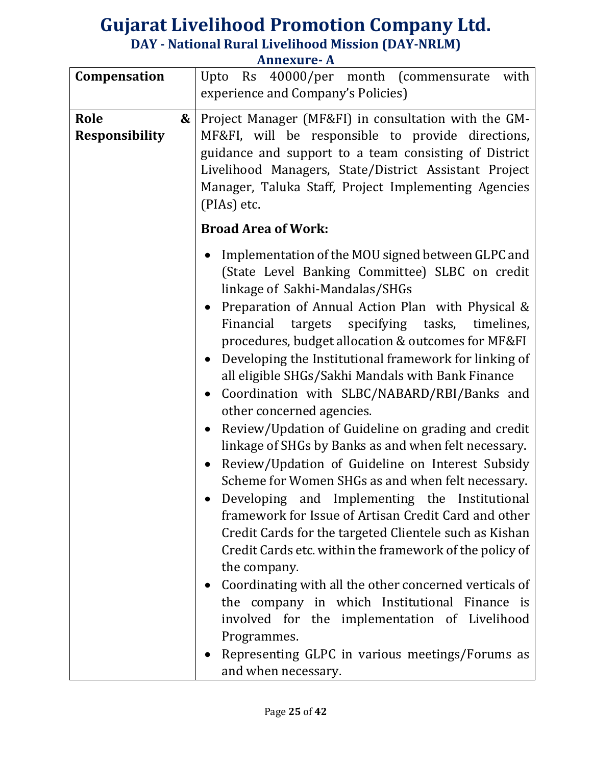|                                    | лшислиге л                                                                                                                                                                                                                                                                                                                                                                                                                                                                                                                                                                                                                                                                                                                                                                                                                                                 |
|------------------------------------|------------------------------------------------------------------------------------------------------------------------------------------------------------------------------------------------------------------------------------------------------------------------------------------------------------------------------------------------------------------------------------------------------------------------------------------------------------------------------------------------------------------------------------------------------------------------------------------------------------------------------------------------------------------------------------------------------------------------------------------------------------------------------------------------------------------------------------------------------------|
| Compensation                       | Rs 40000/per month (commensurate<br>with<br>Upto<br>experience and Company's Policies)                                                                                                                                                                                                                                                                                                                                                                                                                                                                                                                                                                                                                                                                                                                                                                     |
| Role<br>&<br><b>Responsibility</b> | Project Manager (MF&FI) in consultation with the GM-<br>MF&FI, will be responsible to provide directions,<br>guidance and support to a team consisting of District<br>Livelihood Managers, State/District Assistant Project<br>Manager, Taluka Staff, Project Implementing Agencies<br>(PIAs) etc.                                                                                                                                                                                                                                                                                                                                                                                                                                                                                                                                                         |
|                                    |                                                                                                                                                                                                                                                                                                                                                                                                                                                                                                                                                                                                                                                                                                                                                                                                                                                            |
|                                    | <b>Broad Area of Work:</b><br>Implementation of the MOU signed between GLPC and<br>(State Level Banking Committee) SLBC on credit<br>linkage of Sakhi-Mandalas/SHGs<br>Preparation of Annual Action Plan with Physical &<br>Financial targets specifying tasks, timelines,<br>procedures, budget allocation & outcomes for MF&FI<br>Developing the Institutional framework for linking of<br>all eligible SHGs/Sakhi Mandals with Bank Finance<br>Coordination with SLBC/NABARD/RBI/Banks and<br>other concerned agencies.<br>Review/Updation of Guideline on grading and credit<br>linkage of SHGs by Banks as and when felt necessary.<br>Review/Updation of Guideline on Interest Subsidy<br>Scheme for Women SHGs as and when felt necessary.<br>Developing and Implementing the Institutional<br>framework for Issue of Artisan Credit Card and other |
|                                    | Credit Cards for the targeted Clientele such as Kishan<br>Credit Cards etc. within the framework of the policy of                                                                                                                                                                                                                                                                                                                                                                                                                                                                                                                                                                                                                                                                                                                                          |
|                                    | the company.                                                                                                                                                                                                                                                                                                                                                                                                                                                                                                                                                                                                                                                                                                                                                                                                                                               |
|                                    | Coordinating with all the other concerned verticals of                                                                                                                                                                                                                                                                                                                                                                                                                                                                                                                                                                                                                                                                                                                                                                                                     |
|                                    | the company in which Institutional Finance is                                                                                                                                                                                                                                                                                                                                                                                                                                                                                                                                                                                                                                                                                                                                                                                                              |
|                                    | involved for the implementation of Livelihood                                                                                                                                                                                                                                                                                                                                                                                                                                                                                                                                                                                                                                                                                                                                                                                                              |
|                                    | Programmes.                                                                                                                                                                                                                                                                                                                                                                                                                                                                                                                                                                                                                                                                                                                                                                                                                                                |
|                                    | Representing GLPC in various meetings/Forums as                                                                                                                                                                                                                                                                                                                                                                                                                                                                                                                                                                                                                                                                                                                                                                                                            |
|                                    | and when necessary.                                                                                                                                                                                                                                                                                                                                                                                                                                                                                                                                                                                                                                                                                                                                                                                                                                        |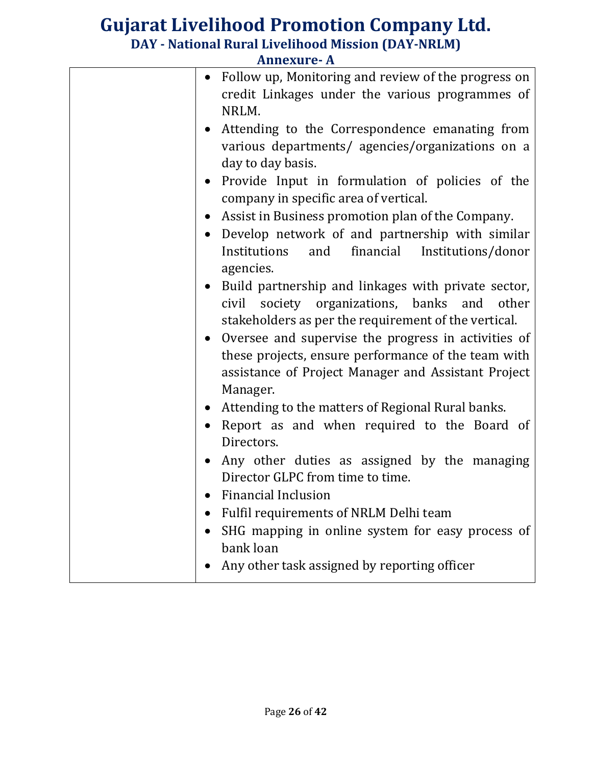| $\bullet$ | Follow up, Monitoring and review of the progress on<br>credit Linkages under the various programmes of<br>NRLM.         |
|-----------|-------------------------------------------------------------------------------------------------------------------------|
|           | Attending to the Correspondence emanating from<br>various departments/ agencies/organizations on a<br>day to day basis. |
| $\bullet$ | Provide Input in formulation of policies of the<br>company in specific area of vertical.                                |
| $\bullet$ | Assist in Business promotion plan of the Company.                                                                       |
| $\bullet$ | Develop network of and partnership with similar                                                                         |
|           | Institutions<br>and<br>financial<br>Institutions/donor<br>agencies.                                                     |
|           | Build partnership and linkages with private sector,                                                                     |
|           | civil society organizations, banks and<br>other<br>stakeholders as per the requirement of the vertical.                 |
|           | Oversee and supervise the progress in activities of                                                                     |
|           | these projects, ensure performance of the team with<br>assistance of Project Manager and Assistant Project<br>Manager.  |
| $\bullet$ | Attending to the matters of Regional Rural banks.                                                                       |
|           | Report as and when required to the Board of<br>Directors.                                                               |
|           | Any other duties as assigned by the managing<br>Director GLPC from time to time.                                        |
|           | • Financial Inclusion                                                                                                   |
|           | Fulfil requirements of NRLM Delhi team                                                                                  |
|           | SHG mapping in online system for easy process of<br>bank loan                                                           |
|           | Any other task assigned by reporting officer                                                                            |
|           |                                                                                                                         |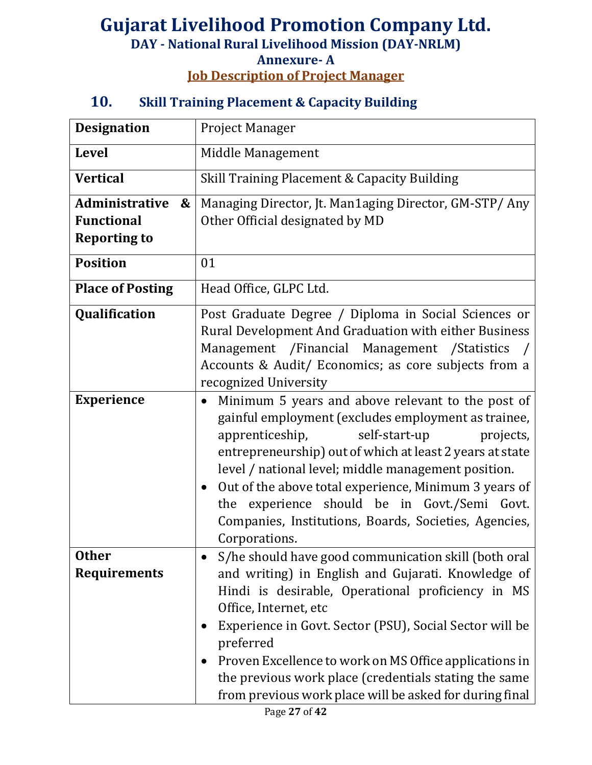## **Gujarat Livelihood Promotion Company Ltd. DAY - National Rural Livelihood Mission (DAY-NRLM) Annexure- A Job Description of Project Manager**

#### **10. Skill Training Placement & Capacity Building**

| <b>Designation</b>                                                     | <b>Project Manager</b>                                                                                                                                                                                                                                                                                                                                                                                                                                                       |
|------------------------------------------------------------------------|------------------------------------------------------------------------------------------------------------------------------------------------------------------------------------------------------------------------------------------------------------------------------------------------------------------------------------------------------------------------------------------------------------------------------------------------------------------------------|
| <b>Level</b>                                                           | Middle Management                                                                                                                                                                                                                                                                                                                                                                                                                                                            |
| <b>Vertical</b>                                                        | Skill Training Placement & Capacity Building                                                                                                                                                                                                                                                                                                                                                                                                                                 |
| <b>Administrative</b><br>&<br><b>Functional</b><br><b>Reporting to</b> | Managing Director, Jt. Man1aging Director, GM-STP/ Any<br>Other Official designated by MD                                                                                                                                                                                                                                                                                                                                                                                    |
| <b>Position</b>                                                        | 01                                                                                                                                                                                                                                                                                                                                                                                                                                                                           |
| <b>Place of Posting</b>                                                | Head Office, GLPC Ltd.                                                                                                                                                                                                                                                                                                                                                                                                                                                       |
| Qualification                                                          | Post Graduate Degree / Diploma in Social Sciences or<br>Rural Development And Graduation with either Business<br>Management /Financial Management /Statistics<br>Accounts & Audit/ Economics; as core subjects from a<br>recognized University                                                                                                                                                                                                                               |
| <b>Experience</b>                                                      | Minimum 5 years and above relevant to the post of<br>gainful employment (excludes employment as trainee,<br>self-start-up<br>apprenticeship,<br>projects,<br>entrepreneurship) out of which at least 2 years at state<br>level / national level; middle management position.<br>Out of the above total experience, Minimum 3 years of<br>$\bullet$<br>the experience should be in Govt./Semi Govt.<br>Companies, Institutions, Boards, Societies, Agencies,<br>Corporations. |
| <b>Other</b><br><b>Requirements</b>                                    | S/he should have good communication skill (both oral<br>and writing) in English and Gujarati. Knowledge of<br>Hindi is desirable, Operational proficiency in MS<br>Office, Internet, etc<br>Experience in Govt. Sector (PSU), Social Sector will be<br>preferred<br>Proven Excellence to work on MS Office applications in<br>the previous work place (credentials stating the same<br>from previous work place will be asked for during final                               |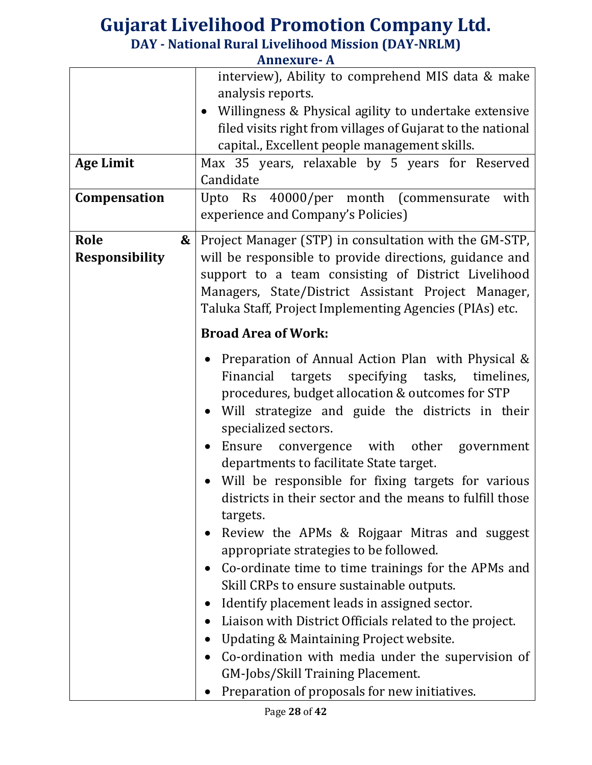| <b>Age Limit</b><br>Compensation | interview), Ability to comprehend MIS data & make<br>analysis reports.<br>• Willingness & Physical agility to undertake extensive<br>filed visits right from villages of Gujarat to the national<br>capital., Excellent people management skills.<br>Max 35 years, relaxable by 5 years for Reserved<br>Candidate<br>Upto Rs 40000/per month (commensurate<br>with<br>experience and Company's Policies)                                                                                                                                                                                                                                                                                                                                                                                                                                                                                                                                                                            |
|----------------------------------|-------------------------------------------------------------------------------------------------------------------------------------------------------------------------------------------------------------------------------------------------------------------------------------------------------------------------------------------------------------------------------------------------------------------------------------------------------------------------------------------------------------------------------------------------------------------------------------------------------------------------------------------------------------------------------------------------------------------------------------------------------------------------------------------------------------------------------------------------------------------------------------------------------------------------------------------------------------------------------------|
| Role<br><b>Responsibility</b>    | Project Manager (STP) in consultation with the GM-STP,<br>&<br>will be responsible to provide directions, guidance and<br>support to a team consisting of District Livelihood<br>Managers, State/District Assistant Project Manager,<br>Taluka Staff, Project Implementing Agencies (PIAs) etc.<br><b>Broad Area of Work:</b>                                                                                                                                                                                                                                                                                                                                                                                                                                                                                                                                                                                                                                                       |
|                                  | Preparation of Annual Action Plan with Physical &<br>Financial targets specifying tasks, timelines,<br>procedures, budget allocation & outcomes for STP<br>Will strategize and guide the districts in their<br>$\bullet$<br>specialized sectors.<br>Ensure convergence with other government<br>departments to facilitate State target.<br>• Will be responsible for fixing targets for various<br>districts in their sector and the means to fulfill those<br>targets.<br>Review the APMs & Rojgaar Mitras and suggest<br>appropriate strategies to be followed.<br>Co-ordinate time to time trainings for the APMs and<br>Skill CRPs to ensure sustainable outputs.<br>Identify placement leads in assigned sector.<br>$\bullet$<br>Liaison with District Officials related to the project.<br>Updating & Maintaining Project website.<br>Co-ordination with media under the supervision of<br>GM-Jobs/Skill Training Placement.<br>Preparation of proposals for new initiatives. |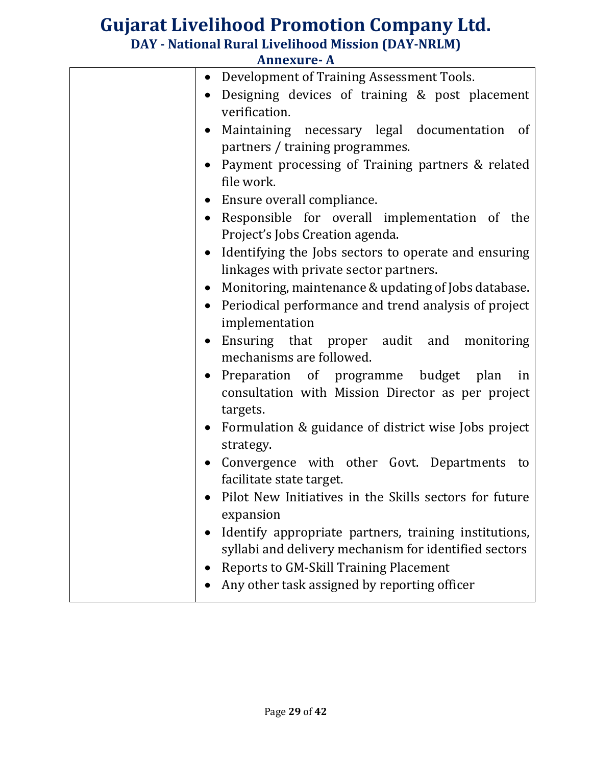|           | AIMEXUL <del>e-</del> A                                                          |
|-----------|----------------------------------------------------------------------------------|
| $\bullet$ | Development of Training Assessment Tools.                                        |
|           | Designing devices of training & post placement<br>verification.                  |
|           | Maintaining necessary legal documentation of                                     |
|           | partners / training programmes.                                                  |
|           | Payment processing of Training partners & related                                |
|           | file work.                                                                       |
|           | • Ensure overall compliance.                                                     |
|           | Responsible for overall implementation of the<br>Project's Jobs Creation agenda. |
|           | Identifying the Jobs sectors to operate and ensuring                             |
|           | linkages with private sector partners.                                           |
|           | Monitoring, maintenance & updating of Jobs database.                             |
|           | Periodical performance and trend analysis of project                             |
|           | implementation                                                                   |
| $\bullet$ | Ensuring that proper audit and monitoring                                        |
|           | mechanisms are followed.                                                         |
|           | • Preparation of programme budget plan<br>in                                     |
|           | consultation with Mission Director as per project                                |
|           | targets.                                                                         |
|           | Formulation & guidance of district wise Jobs project                             |
|           | strategy.                                                                        |
| $\bullet$ | Convergence with other Govt. Departments to<br>facilitate state target.          |
|           | Pilot New Initiatives in the Skills sectors for future                           |
|           | expansion                                                                        |
|           | Identify appropriate partners, training institutions,                            |
|           | syllabi and delivery mechanism for identified sectors                            |
|           | <b>Reports to GM-Skill Training Placement</b>                                    |
|           | Any other task assigned by reporting officer                                     |
|           |                                                                                  |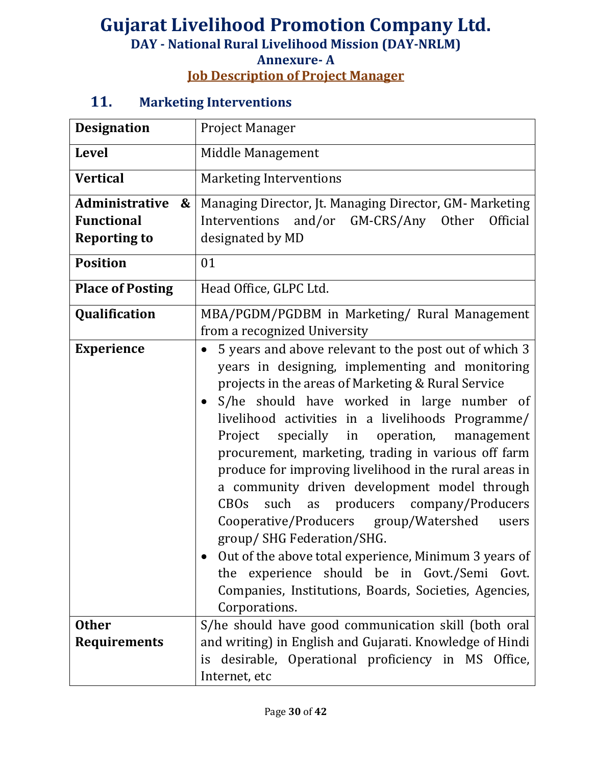#### **Annexure- A Job Description of Project Manager**

## **11. Marketing Interventions**

| <b>Designation</b>                                                                                        | <b>Project Manager</b>                                                                                                                                                                                                                                                                                                                                                                                                                                                                                                                                                                                                                                                                                                                                                                                                          |
|-----------------------------------------------------------------------------------------------------------|---------------------------------------------------------------------------------------------------------------------------------------------------------------------------------------------------------------------------------------------------------------------------------------------------------------------------------------------------------------------------------------------------------------------------------------------------------------------------------------------------------------------------------------------------------------------------------------------------------------------------------------------------------------------------------------------------------------------------------------------------------------------------------------------------------------------------------|
| <b>Level</b>                                                                                              | Middle Management                                                                                                                                                                                                                                                                                                                                                                                                                                                                                                                                                                                                                                                                                                                                                                                                               |
| <b>Vertical</b>                                                                                           | <b>Marketing Interventions</b>                                                                                                                                                                                                                                                                                                                                                                                                                                                                                                                                                                                                                                                                                                                                                                                                  |
| <b>Administrative</b><br>$\boldsymbol{\&}$<br><b>Functional</b><br><b>Reporting to</b><br><b>Position</b> | Managing Director, Jt. Managing Director, GM- Marketing<br>Interventions<br>and/or GM-CRS/Any Other<br>Official<br>designated by MD<br>01                                                                                                                                                                                                                                                                                                                                                                                                                                                                                                                                                                                                                                                                                       |
| <b>Place of Posting</b>                                                                                   | Head Office, GLPC Ltd.                                                                                                                                                                                                                                                                                                                                                                                                                                                                                                                                                                                                                                                                                                                                                                                                          |
| Qualification                                                                                             | MBA/PGDM/PGDBM in Marketing/ Rural Management<br>from a recognized University                                                                                                                                                                                                                                                                                                                                                                                                                                                                                                                                                                                                                                                                                                                                                   |
| <b>Experience</b>                                                                                         | 5 years and above relevant to the post out of which 3<br>$\bullet$<br>years in designing, implementing and monitoring<br>projects in the areas of Marketing & Rural Service<br>S/he should have worked in large number of<br>livelihood activities in a livelihoods Programme/<br>specially in<br>operation,<br>Project<br>management<br>procurement, marketing, trading in various off farm<br>produce for improving livelihood in the rural areas in<br>a community driven development model through<br>such as producers company/Producers<br><b>CBOs</b><br>Cooperative/Producers group/Watershed<br>users<br>group/ SHG Federation/SHG.<br>Out of the above total experience, Minimum 3 years of<br>the experience should be in Govt./Semi Govt.<br>Companies, Institutions, Boards, Societies, Agencies,<br>Corporations. |
| <b>Other</b><br><b>Requirements</b>                                                                       | S/he should have good communication skill (both oral<br>and writing) in English and Gujarati. Knowledge of Hindi<br>is desirable, Operational proficiency in MS Office,<br>Internet, etc                                                                                                                                                                                                                                                                                                                                                                                                                                                                                                                                                                                                                                        |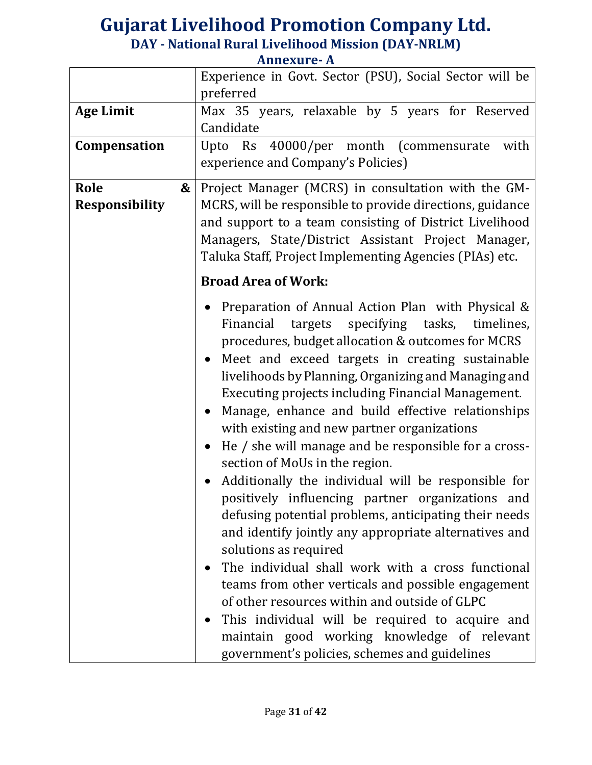|                       | Experience in Govt. Sector (PSU), Social Sector will be<br>preferred |
|-----------------------|----------------------------------------------------------------------|
|                       |                                                                      |
| <b>Age Limit</b>      | Max 35 years, relaxable by 5 years for Reserved                      |
|                       | Candidate                                                            |
| Compensation          | Upto Rs 40000/per month (commensurate<br>with                        |
|                       | experience and Company's Policies)                                   |
| Role<br>&             | Project Manager (MCRS) in consultation with the GM-                  |
|                       |                                                                      |
| <b>Responsibility</b> | MCRS, will be responsible to provide directions, guidance            |
|                       | and support to a team consisting of District Livelihood              |
|                       | Managers, State/District Assistant Project Manager,                  |
|                       | Taluka Staff, Project Implementing Agencies (PIAs) etc.              |
|                       | <b>Broad Area of Work:</b>                                           |
|                       |                                                                      |
|                       | Preparation of Annual Action Plan with Physical &                    |
|                       | Financial targets specifying tasks, timelines,                       |
|                       | procedures, budget allocation & outcomes for MCRS                    |
|                       | Meet and exceed targets in creating sustainable                      |
|                       | livelihoods by Planning, Organizing and Managing and                 |
|                       | Executing projects including Financial Management.                   |
|                       |                                                                      |
|                       | Manage, enhance and build effective relationships<br>$\bullet$       |
|                       | with existing and new partner organizations                          |
|                       | He / she will manage and be responsible for a cross-<br>$\bullet$    |
|                       | section of MoUs in the region.                                       |
|                       | Additionally the individual will be responsible for                  |
|                       | positively influencing partner organizations and                     |
|                       | defusing potential problems, anticipating their needs                |
|                       | and identify jointly any appropriate alternatives and                |
|                       |                                                                      |
|                       | solutions as required                                                |
|                       | The individual shall work with a cross functional                    |
|                       | teams from other verticals and possible engagement                   |
|                       | of other resources within and outside of GLPC                        |
|                       | This individual will be required to acquire and                      |
|                       | maintain good working knowledge of relevant                          |
|                       | government's policies, schemes and guidelines                        |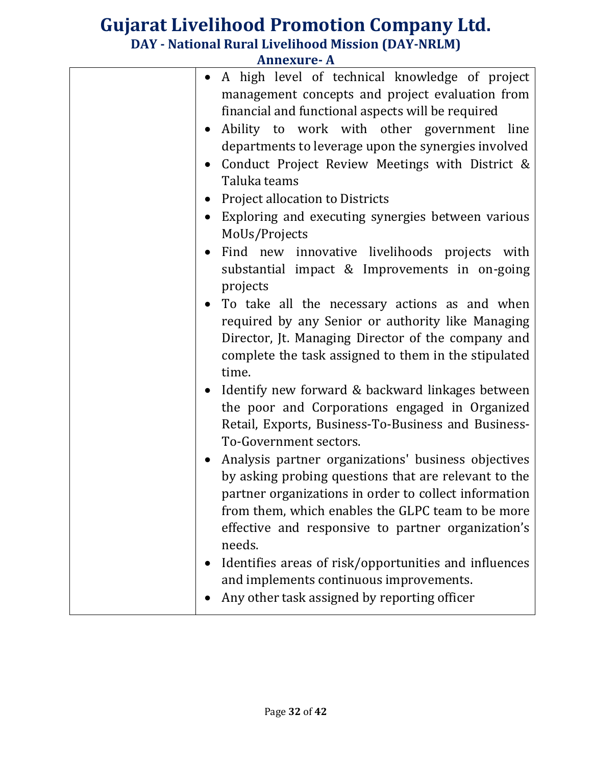| AIMEXUI E- A                                                                                                                                                                                                                                                                                                                                                                   |
|--------------------------------------------------------------------------------------------------------------------------------------------------------------------------------------------------------------------------------------------------------------------------------------------------------------------------------------------------------------------------------|
| A high level of technical knowledge of project<br>management concepts and project evaluation from<br>financial and functional aspects will be required<br>Ability to work with other government line<br>$\bullet$<br>departments to leverage upon the synergies involved<br>Conduct Project Review Meetings with District &<br>Taluka teams<br>Project allocation to Districts |
| Exploring and executing synergies between various<br>MoUs/Projects                                                                                                                                                                                                                                                                                                             |
| Find new innovative livelihoods projects with<br>substantial impact & Improvements in on-going<br>projects                                                                                                                                                                                                                                                                     |
| • To take all the necessary actions as and when<br>required by any Senior or authority like Managing<br>Director, Jt. Managing Director of the company and<br>complete the task assigned to them in the stipulated<br>time.                                                                                                                                                    |
| Identify new forward & backward linkages between<br>the poor and Corporations engaged in Organized<br>Retail, Exports, Business-To-Business and Business-<br>To-Government sectors.                                                                                                                                                                                            |
| Analysis partner organizations' business objectives<br>by asking probing questions that are relevant to the<br>partner organizations in order to collect information<br>from them, which enables the GLPC team to be more<br>effective and responsive to partner organization's<br>needs.                                                                                      |
| Identifies areas of risk/opportunities and influences<br>and implements continuous improvements.<br>Any other task assigned by reporting officer                                                                                                                                                                                                                               |
|                                                                                                                                                                                                                                                                                                                                                                                |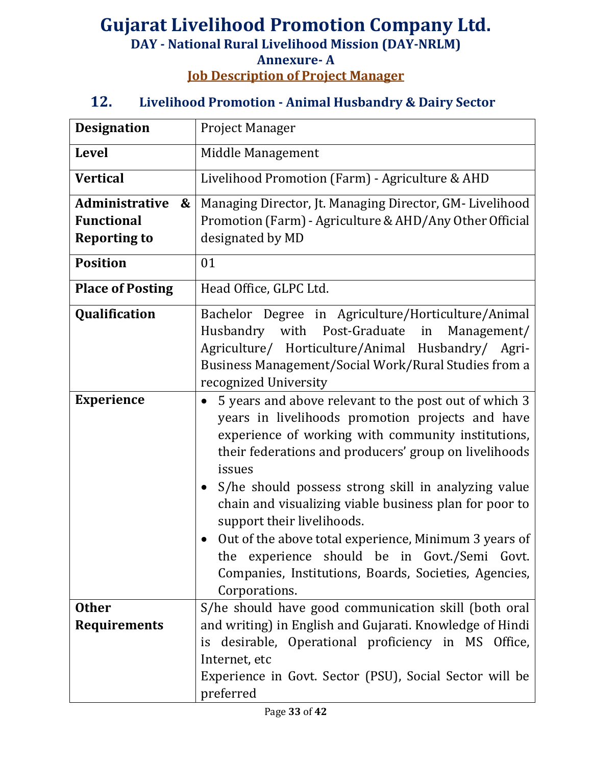## **Gujarat Livelihood Promotion Company Ltd. DAY - National Rural Livelihood Mission (DAY-NRLM) Annexure- A Job Description of Project Manager**

#### **12. Livelihood Promotion - Animal Husbandry & Dairy Sector**

| <b>Designation</b>                                                              | Project Manager                                                                                                                                                                                                                                                                                                                                                                                                                                                                                                                                                         |
|---------------------------------------------------------------------------------|-------------------------------------------------------------------------------------------------------------------------------------------------------------------------------------------------------------------------------------------------------------------------------------------------------------------------------------------------------------------------------------------------------------------------------------------------------------------------------------------------------------------------------------------------------------------------|
| <b>Level</b>                                                                    | Middle Management                                                                                                                                                                                                                                                                                                                                                                                                                                                                                                                                                       |
| <b>Vertical</b>                                                                 | Livelihood Promotion (Farm) - Agriculture & AHD                                                                                                                                                                                                                                                                                                                                                                                                                                                                                                                         |
| Administrative<br>$\boldsymbol{\&}$<br><b>Functional</b><br><b>Reporting to</b> | Managing Director, Jt. Managing Director, GM-Livelihood<br>Promotion (Farm) - Agriculture & AHD/Any Other Official<br>designated by MD                                                                                                                                                                                                                                                                                                                                                                                                                                  |
| <b>Position</b>                                                                 | 01                                                                                                                                                                                                                                                                                                                                                                                                                                                                                                                                                                      |
| <b>Place of Posting</b>                                                         | Head Office, GLPC Ltd.                                                                                                                                                                                                                                                                                                                                                                                                                                                                                                                                                  |
| Qualification                                                                   | Bachelor Degree in Agriculture/Horticulture/Animal<br>Husbandry with Post-Graduate in<br>Management/<br>Agriculture/ Horticulture/Animal Husbandry/ Agri-<br>Business Management/Social Work/Rural Studies from a<br>recognized University                                                                                                                                                                                                                                                                                                                              |
| <b>Experience</b>                                                               | 5 years and above relevant to the post out of which 3<br>years in livelihoods promotion projects and have<br>experience of working with community institutions,<br>their federations and producers' group on livelihoods<br>issues<br>S/he should possess strong skill in analyzing value<br>chain and visualizing viable business plan for poor to<br>support their livelihoods.<br>Out of the above total experience, Minimum 3 years of<br>experience should be in Govt./Semi Govt.<br>the<br>Companies, Institutions, Boards, Societies, Agencies,<br>Corporations. |
| <b>Other</b><br><b>Requirements</b>                                             | S/he should have good communication skill (both oral<br>and writing) in English and Gujarati. Knowledge of Hindi<br>is desirable, Operational proficiency in MS Office,                                                                                                                                                                                                                                                                                                                                                                                                 |
|                                                                                 | Internet, etc<br>Experience in Govt. Sector (PSU), Social Sector will be<br>preferred                                                                                                                                                                                                                                                                                                                                                                                                                                                                                   |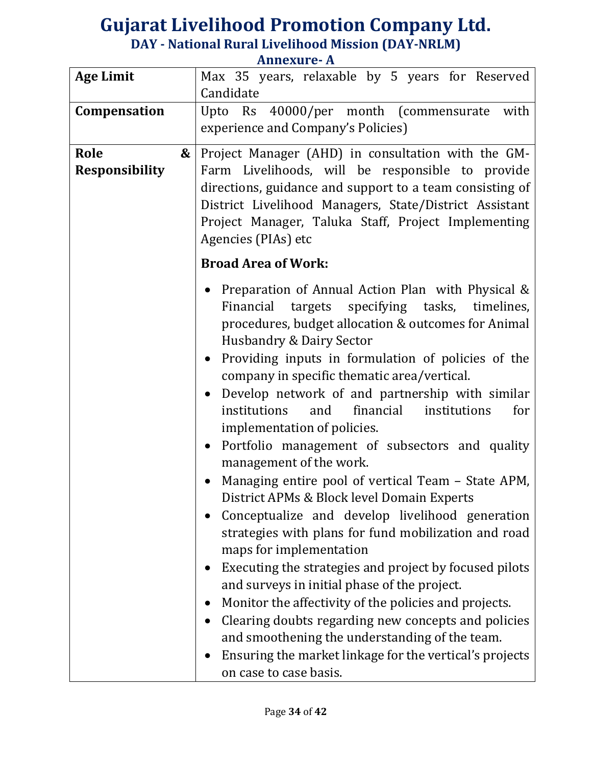| <b>Age Limit</b>      | Max 35 years, relaxable by 5 years for Reserved<br>Candidate |
|-----------------------|--------------------------------------------------------------|
| Compensation          | Upto Rs 40000/per month (commensurate<br>with                |
|                       |                                                              |
|                       | experience and Company's Policies)                           |
| Role<br>&             | Project Manager (AHD) in consultation with the GM-           |
| <b>Responsibility</b> | Farm Livelihoods, will be responsible to provide             |
|                       | directions, guidance and support to a team consisting of     |
|                       | District Livelihood Managers, State/District Assistant       |
|                       |                                                              |
|                       | Project Manager, Taluka Staff, Project Implementing          |
|                       | Agencies (PIAs) etc                                          |
|                       | <b>Broad Area of Work:</b>                                   |
|                       | Preparation of Annual Action Plan with Physical &            |
|                       | targets specifying tasks, timelines,<br>Financial            |
|                       | procedures, budget allocation & outcomes for Animal          |
|                       |                                                              |
|                       | <b>Husbandry &amp; Dairy Sector</b>                          |
|                       | Providing inputs in formulation of policies of the           |
|                       | company in specific thematic area/vertical.                  |
|                       | Develop network of and partnership with similar              |
|                       | institutions<br>and<br>financial<br>institutions<br>for      |
|                       | implementation of policies.                                  |
|                       | Portfolio management of subsectors and quality               |
|                       | management of the work.                                      |
|                       | Managing entire pool of vertical Team – State APM,           |
|                       |                                                              |
|                       | District APMs & Block level Domain Experts                   |
|                       | Conceptualize and develop livelihood generation              |
|                       | strategies with plans for fund mobilization and road         |
|                       | maps for implementation                                      |
|                       | Executing the strategies and project by focused pilots       |
|                       | and surveys in initial phase of the project.                 |
|                       | Monitor the affectivity of the policies and projects.        |
|                       | Clearing doubts regarding new concepts and policies          |
|                       | and smoothening the understanding of the team.               |
|                       |                                                              |
|                       | Ensuring the market linkage for the vertical's projects      |
|                       | on case to case basis.                                       |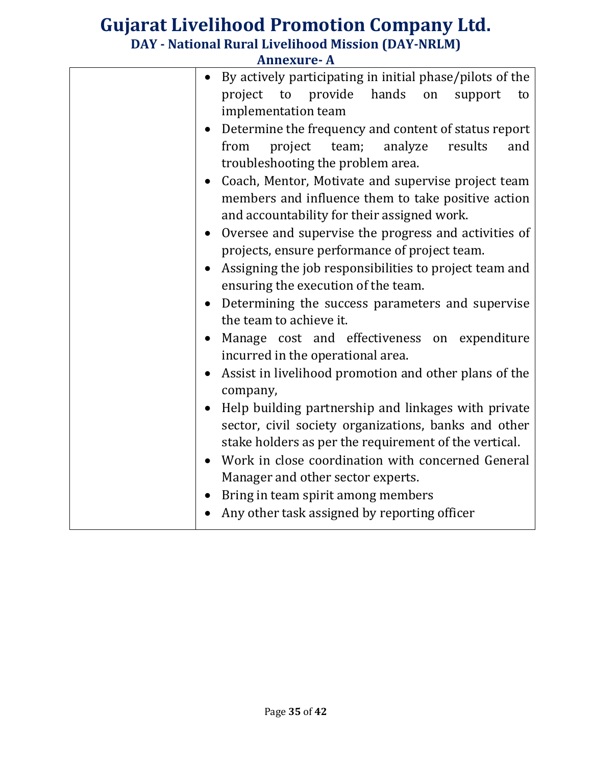| <b>Annexure-A</b> |                                                                                   |
|-------------------|-----------------------------------------------------------------------------------|
| $\bullet$         | By actively participating in initial phase/pilots of the                          |
|                   | hands<br>provide<br>project to<br>on<br>support<br>to                             |
|                   | implementation team                                                               |
|                   | Determine the frequency and content of status report                              |
|                   | project team; analyze<br>from<br>results<br>and                                   |
|                   | troubleshooting the problem area.                                                 |
|                   | Coach, Mentor, Motivate and supervise project team                                |
|                   | members and influence them to take positive action                                |
|                   | and accountability for their assigned work.                                       |
| $\bullet$         | Oversee and supervise the progress and activities of                              |
|                   | projects, ensure performance of project team.                                     |
| $\bullet$         | Assigning the job responsibilities to project team and                            |
|                   | ensuring the execution of the team.                                               |
|                   | Determining the success parameters and supervise<br>the team to achieve it.       |
|                   |                                                                                   |
| $\bullet$         | Manage cost and effectiveness on expenditure<br>incurred in the operational area. |
|                   | Assist in livelihood promotion and other plans of the                             |
|                   | company,                                                                          |
| $\bullet$         | Help building partnership and linkages with private                               |
|                   | sector, civil society organizations, banks and other                              |
|                   | stake holders as per the requirement of the vertical.                             |
|                   | Work in close coordination with concerned General                                 |
|                   | Manager and other sector experts.                                                 |
| $\bullet$         | Bring in team spirit among members                                                |
|                   | Any other task assigned by reporting officer                                      |
|                   |                                                                                   |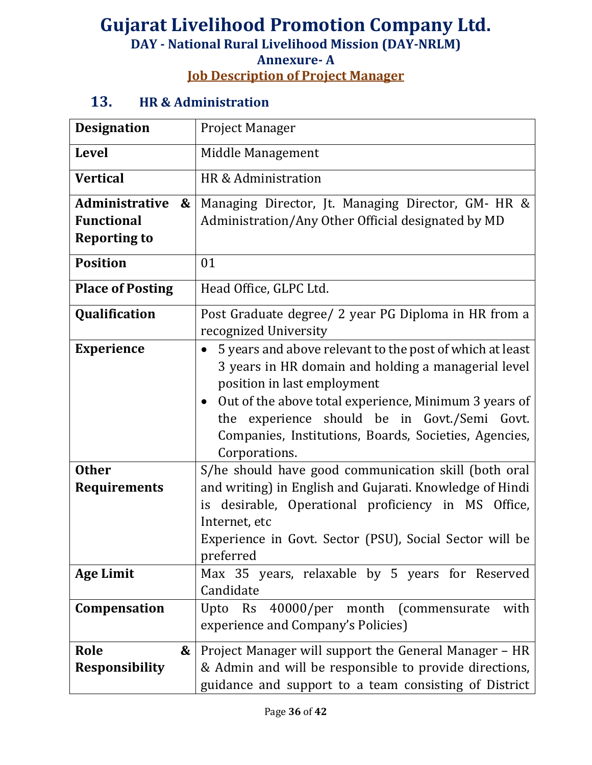## **Gujarat Livelihood Promotion Company Ltd. DAY - National Rural Livelihood Mission (DAY-NRLM) Annexure- A Job Description of Project Manager**

#### **13. HR & Administration**

| <b>Designation</b>                                              | <b>Project Manager</b>                                                                                                                                                                                                                                                                                                                                         |
|-----------------------------------------------------------------|----------------------------------------------------------------------------------------------------------------------------------------------------------------------------------------------------------------------------------------------------------------------------------------------------------------------------------------------------------------|
| <b>Level</b>                                                    | Middle Management                                                                                                                                                                                                                                                                                                                                              |
| <b>Vertical</b>                                                 | HR & Administration                                                                                                                                                                                                                                                                                                                                            |
| Administrative<br>&<br><b>Functional</b><br><b>Reporting to</b> | Managing Director, Jt. Managing Director, GM- HR &<br>Administration/Any Other Official designated by MD                                                                                                                                                                                                                                                       |
| <b>Position</b>                                                 | 01                                                                                                                                                                                                                                                                                                                                                             |
| <b>Place of Posting</b>                                         | Head Office, GLPC Ltd.                                                                                                                                                                                                                                                                                                                                         |
| Qualification                                                   | Post Graduate degree/ 2 year PG Diploma in HR from a<br>recognized University                                                                                                                                                                                                                                                                                  |
| <b>Experience</b>                                               | 5 years and above relevant to the post of which at least<br>$\bullet$<br>3 years in HR domain and holding a managerial level<br>position in last employment<br>Out of the above total experience, Minimum 3 years of<br>$\bullet$<br>experience should be in Govt./Semi Govt.<br>the<br>Companies, Institutions, Boards, Societies, Agencies,<br>Corporations. |
| <b>Other</b><br><b>Requirements</b>                             | S/he should have good communication skill (both oral<br>and writing) in English and Gujarati. Knowledge of Hindi<br>desirable, Operational proficiency in MS Office,<br>is.<br>Internet, etc<br>Experience in Govt. Sector (PSU), Social Sector will be<br>preferred                                                                                           |
| <b>Age Limit</b>                                                | Max 35 years, relaxable by 5 years for Reserved<br>Candidate                                                                                                                                                                                                                                                                                                   |
| Compensation                                                    | 40000/per month (commensurate<br>Upto Rs<br>with<br>experience and Company's Policies)                                                                                                                                                                                                                                                                         |
| Role<br>&<br><b>Responsibility</b>                              | Project Manager will support the General Manager – HR<br>& Admin and will be responsible to provide directions,<br>guidance and support to a team consisting of District                                                                                                                                                                                       |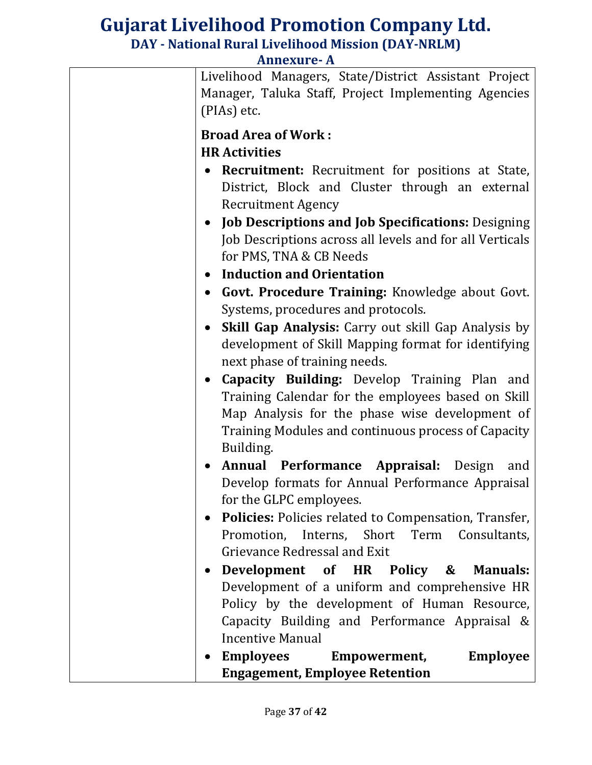| Annexure- A |                                                                                                                                                                                                                                                                                                                                                                                                                                                                                                                                                                                                                                                                                                                                                                                                      |
|-------------|------------------------------------------------------------------------------------------------------------------------------------------------------------------------------------------------------------------------------------------------------------------------------------------------------------------------------------------------------------------------------------------------------------------------------------------------------------------------------------------------------------------------------------------------------------------------------------------------------------------------------------------------------------------------------------------------------------------------------------------------------------------------------------------------------|
|             | Livelihood Managers, State/District Assistant Project<br>Manager, Taluka Staff, Project Implementing Agencies<br>(PIAs) etc.                                                                                                                                                                                                                                                                                                                                                                                                                                                                                                                                                                                                                                                                         |
|             | <b>Broad Area of Work:</b><br><b>HR Activities</b><br><b>Recruitment:</b> Recruitment for positions at State,<br>District, Block and Cluster through an external<br><b>Recruitment Agency</b><br>• Job Descriptions and Job Specifications: Designing<br>Job Descriptions across all levels and for all Verticals<br>for PMS, TNA & CB Needs<br><b>Induction and Orientation</b><br>Govt. Procedure Training: Knowledge about Govt.<br>Systems, procedures and protocols.<br><b>Skill Gap Analysis:</b> Carry out skill Gap Analysis by<br>development of Skill Mapping format for identifying<br>next phase of training needs.<br>Capacity Building: Develop Training Plan and<br>$\bullet$<br>Training Calendar for the employees based on Skill<br>Map Analysis for the phase wise development of |
|             | Training Modules and continuous process of Capacity<br>Building.<br>Annual Performance Appraisal: Design<br>and<br>Develop formats for Annual Performance Appraisal<br>for the GLPC employees.<br><b>Policies:</b> Policies related to Compensation, Transfer,<br>Promotion, Interns, Short Term Consultants,<br>Grievance Redressal and Exit<br>Development of HR Policy & Manuals:<br>Development of a uniform and comprehensive HR<br>Policy by the development of Human Resource,<br>Capacity Building and Performance Appraisal &<br><b>Incentive Manual</b><br>Employees Empowerment,<br><b>Employee</b>                                                                                                                                                                                       |
|             | <b>Engagement, Employee Retention</b>                                                                                                                                                                                                                                                                                                                                                                                                                                                                                                                                                                                                                                                                                                                                                                |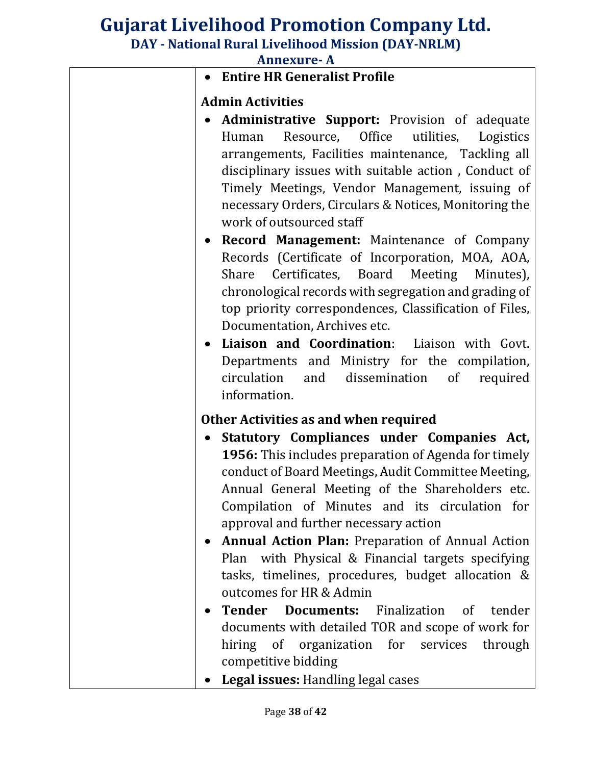# **Gujarat Livelihood Promotion Company Ltd.**

**DAY - National Rural Livelihood Mission (DAY-NRLM)**

| <b>Annexure-A</b> |                                                                                                                                                                                                                                                                                                                                                                                                                                                                                                                                                                                                                                                                                                                                                                                                                                |
|-------------------|--------------------------------------------------------------------------------------------------------------------------------------------------------------------------------------------------------------------------------------------------------------------------------------------------------------------------------------------------------------------------------------------------------------------------------------------------------------------------------------------------------------------------------------------------------------------------------------------------------------------------------------------------------------------------------------------------------------------------------------------------------------------------------------------------------------------------------|
|                   | <b>Entire HR Generalist Profile</b>                                                                                                                                                                                                                                                                                                                                                                                                                                                                                                                                                                                                                                                                                                                                                                                            |
|                   | <b>Admin Activities</b>                                                                                                                                                                                                                                                                                                                                                                                                                                                                                                                                                                                                                                                                                                                                                                                                        |
|                   | <b>Administrative Support:</b> Provision of adequate<br>Resource, Office utilities,<br>Logistics<br>Human<br>arrangements, Facilities maintenance, Tackling all<br>disciplinary issues with suitable action, Conduct of<br>Timely Meetings, Vendor Management, issuing of<br>necessary Orders, Circulars & Notices, Monitoring the<br>work of outsourced staff<br>Record Management: Maintenance of Company<br>Records (Certificate of Incorporation, MOA, AOA,<br>Certificates, Board Meeting<br>Share<br>Minutes),<br>chronological records with segregation and grading of<br>top priority correspondences, Classification of Files,<br>Documentation, Archives etc.<br>Liaison and Coordination: Liaison with Govt.<br>Departments and Ministry for the compilation,<br>dissemination of<br>circulation<br>and<br>required |
|                   | information.                                                                                                                                                                                                                                                                                                                                                                                                                                                                                                                                                                                                                                                                                                                                                                                                                   |
|                   | Other Activities as and when required                                                                                                                                                                                                                                                                                                                                                                                                                                                                                                                                                                                                                                                                                                                                                                                          |
|                   | Statutory Compliances under Companies Act,<br><b>1956:</b> This includes preparation of Agenda for timely<br>conduct of Board Meetings, Audit Committee Meeting,<br>Annual General Meeting of the Shareholders etc.<br>Compilation of Minutes and its circulation for<br>approval and further necessary action<br><b>Annual Action Plan: Preparation of Annual Action</b><br>Plan with Physical & Financial targets specifying<br>tasks, timelines, procedures, budget allocation &<br>outcomes for HR & Admin                                                                                                                                                                                                                                                                                                                 |
|                   | <b>Tender Documents:</b> Finalization of<br>tender<br>documents with detailed TOR and scope of work for<br>hiring of organization for services<br>through<br>competitive bidding<br>Legal issues: Handling legal cases                                                                                                                                                                                                                                                                                                                                                                                                                                                                                                                                                                                                         |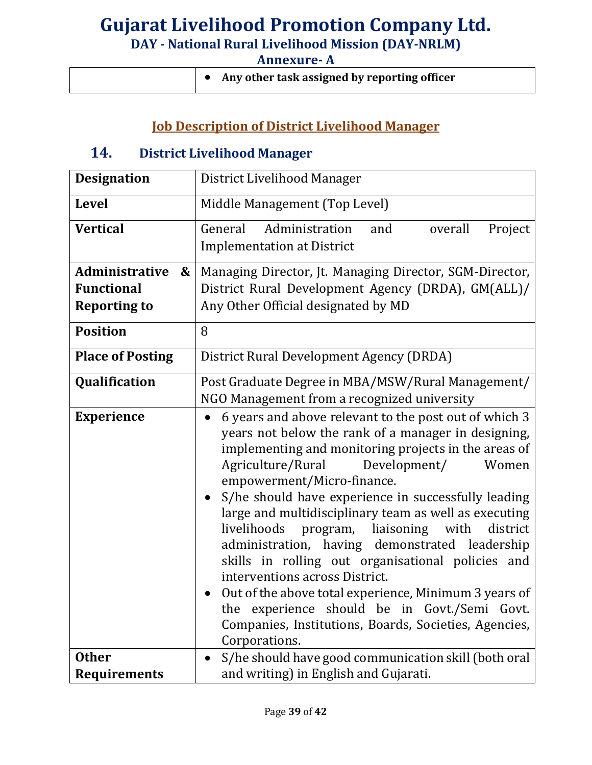| Any other task assigned by reporting officer |
|----------------------------------------------|
|----------------------------------------------|

# **Job Description of District Livelihood Manager**

#### **14. District Livelihood Manager**

| <b>Designation</b>         | District Livelihood Manager                                                                                                                                                                                                                                                                                                                                                                                                                                                                                                                                                                                                                                                                                                                               |
|----------------------------|-----------------------------------------------------------------------------------------------------------------------------------------------------------------------------------------------------------------------------------------------------------------------------------------------------------------------------------------------------------------------------------------------------------------------------------------------------------------------------------------------------------------------------------------------------------------------------------------------------------------------------------------------------------------------------------------------------------------------------------------------------------|
| <b>Level</b>               | Middle Management (Top Level)                                                                                                                                                                                                                                                                                                                                                                                                                                                                                                                                                                                                                                                                                                                             |
| <b>Vertical</b>            | General<br>Administration<br>and<br>overall<br>Project<br><b>Implementation at District</b>                                                                                                                                                                                                                                                                                                                                                                                                                                                                                                                                                                                                                                                               |
| <b>Administrative</b><br>& | Managing Director, Jt. Managing Director, SGM-Director,                                                                                                                                                                                                                                                                                                                                                                                                                                                                                                                                                                                                                                                                                                   |
| <b>Functional</b>          | District Rural Development Agency (DRDA), GM(ALL)/                                                                                                                                                                                                                                                                                                                                                                                                                                                                                                                                                                                                                                                                                                        |
| <b>Reporting to</b>        | Any Other Official designated by MD                                                                                                                                                                                                                                                                                                                                                                                                                                                                                                                                                                                                                                                                                                                       |
| <b>Position</b>            | 8                                                                                                                                                                                                                                                                                                                                                                                                                                                                                                                                                                                                                                                                                                                                                         |
| <b>Place of Posting</b>    | District Rural Development Agency (DRDA)                                                                                                                                                                                                                                                                                                                                                                                                                                                                                                                                                                                                                                                                                                                  |
| Qualification              | Post Graduate Degree in MBA/MSW/Rural Management/                                                                                                                                                                                                                                                                                                                                                                                                                                                                                                                                                                                                                                                                                                         |
|                            | NGO Management from a recognized university                                                                                                                                                                                                                                                                                                                                                                                                                                                                                                                                                                                                                                                                                                               |
| <b>Experience</b>          | 6 years and above relevant to the post out of which 3<br>years not below the rank of a manager in designing,<br>implementing and monitoring projects in the areas of<br>Agriculture/Rural<br>Development/<br>Women<br>empowerment/Micro-finance.<br>S/he should have experience in successfully leading<br>large and multidisciplinary team as well as executing<br>program, liaisoning<br>livelihoods<br>with<br>district<br>administration, having demonstrated leadership<br>skills in rolling out organisational policies and<br>interventions across District.<br>Out of the above total experience, Minimum 3 years of<br>experience should be in Govt./Semi Govt.<br>the<br>Companies, Institutions, Boards, Societies, Agencies,<br>Corporations. |
| <b>Other</b>               | S/he should have good communication skill (both oral                                                                                                                                                                                                                                                                                                                                                                                                                                                                                                                                                                                                                                                                                                      |
| <b>Requirements</b>        | and writing) in English and Gujarati.                                                                                                                                                                                                                                                                                                                                                                                                                                                                                                                                                                                                                                                                                                                     |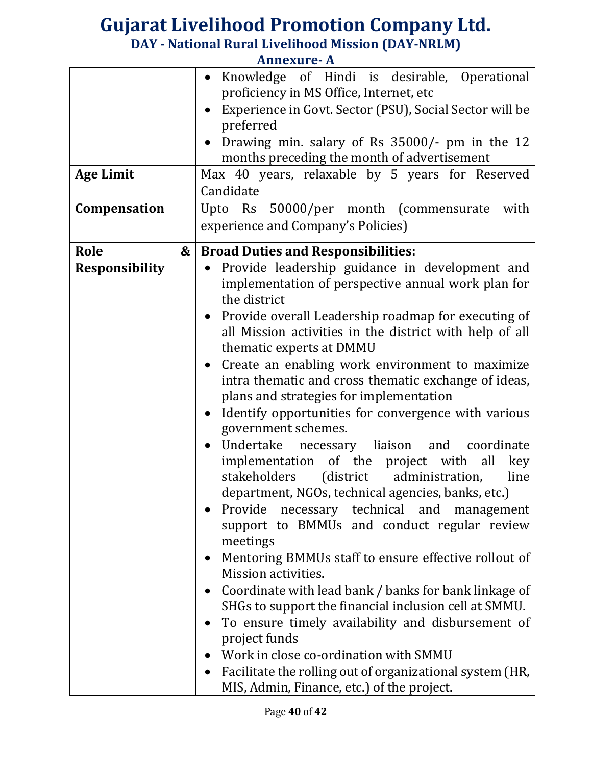|                       | Allilexure- A                                                         |
|-----------------------|-----------------------------------------------------------------------|
|                       | Knowledge of Hindi is desirable, Operational                          |
|                       | proficiency in MS Office, Internet, etc                               |
|                       | Experience in Govt. Sector (PSU), Social Sector will be<br>$\bullet$  |
|                       | preferred                                                             |
|                       | Drawing min. salary of Rs 35000/- pm in the 12                        |
|                       | months preceding the month of advertisement                           |
| <b>Age Limit</b>      | Max 40 years, relaxable by 5 years for Reserved                       |
|                       | Candidate                                                             |
| Compensation          | Upto Rs 50000/per month (commensurate with                            |
|                       | experience and Company's Policies)                                    |
|                       |                                                                       |
| Role<br>&             | <b>Broad Duties and Responsibilities:</b>                             |
| <b>Responsibility</b> | Provide leadership guidance in development and                        |
|                       | implementation of perspective annual work plan for                    |
|                       | the district                                                          |
|                       | • Provide overall Leadership roadmap for executing of                 |
|                       | all Mission activities in the district with help of all               |
|                       | thematic experts at DMMU                                              |
|                       | Create an enabling work environment to maximize<br>$\bullet$          |
|                       | intra thematic and cross thematic exchange of ideas,                  |
|                       | plans and strategies for implementation                               |
|                       | Identify opportunities for convergence with various                   |
|                       | government schemes.                                                   |
|                       | Undertake necessary liaison and coordinate                            |
|                       | implementation of the project with<br>all<br>key                      |
|                       | stakeholders<br>(district administration,<br>line                     |
|                       | department, NGOs, technical agencies, banks, etc.)                    |
|                       | Provide necessary technical and<br>management                         |
|                       | support to BMMUs and conduct regular review                           |
|                       | meetings                                                              |
|                       | Mentoring BMMUs staff to ensure effective rollout of                  |
|                       | Mission activities.                                                   |
|                       |                                                                       |
|                       | Coordinate with lead bank / banks for bank linkage of<br>$\bullet$    |
|                       | SHGs to support the financial inclusion cell at SMMU.                 |
|                       | To ensure timely availability and disbursement of                     |
|                       | project funds                                                         |
|                       | Work in close co-ordination with SMMU                                 |
|                       | Facilitate the rolling out of organizational system (HR,<br>$\bullet$ |
|                       | MIS, Admin, Finance, etc.) of the project.                            |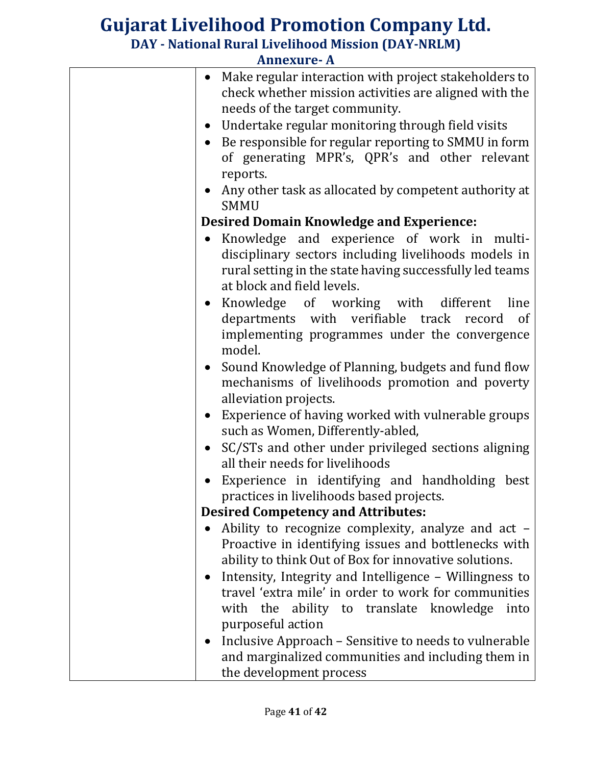|           | AIMICAUI <del>C'</del> A                                                                                                                         |
|-----------|--------------------------------------------------------------------------------------------------------------------------------------------------|
| $\bullet$ | Make regular interaction with project stakeholders to<br>check whether mission activities are aligned with the<br>needs of the target community. |
|           | Undertake regular monitoring through field visits                                                                                                |
| $\bullet$ |                                                                                                                                                  |
|           | • Be responsible for regular reporting to SMMU in form                                                                                           |
|           | of generating MPR's, QPR's and other relevant                                                                                                    |
|           | reports.                                                                                                                                         |
|           | • Any other task as allocated by competent authority at<br><b>SMMU</b>                                                                           |
|           | <b>Desired Domain Knowledge and Experience:</b>                                                                                                  |
| $\bullet$ | Knowledge and experience of work in multi-                                                                                                       |
|           | disciplinary sectors including livelihoods models in                                                                                             |
|           | rural setting in the state having successfully led teams                                                                                         |
|           | at block and field levels.                                                                                                                       |
|           | • Knowledge of working with different line                                                                                                       |
|           | departments with verifiable track record<br>0f                                                                                                   |
|           | implementing programmes under the convergence                                                                                                    |
|           | model.                                                                                                                                           |
| $\bullet$ | Sound Knowledge of Planning, budgets and fund flow                                                                                               |
|           | mechanisms of livelihoods promotion and poverty                                                                                                  |
|           | alleviation projects.                                                                                                                            |
|           | Experience of having worked with vulnerable groups                                                                                               |
|           | such as Women, Differently-abled,                                                                                                                |
| $\bullet$ | SC/STs and other under privileged sections aligning                                                                                              |
|           | all their needs for livelihoods                                                                                                                  |
| $\bullet$ | Experience in identifying and handholding best                                                                                                   |
|           | practices in livelihoods based projects.                                                                                                         |
|           | <b>Desired Competency and Attributes:</b>                                                                                                        |
|           | Ability to recognize complexity, analyze and act -                                                                                               |
|           | Proactive in identifying issues and bottlenecks with                                                                                             |
|           | ability to think Out of Box for innovative solutions.                                                                                            |
|           | Intensity, Integrity and Intelligence - Willingness to                                                                                           |
|           | travel 'extra mile' in order to work for communities                                                                                             |
|           | with the ability to translate knowledge<br>into                                                                                                  |
|           | purposeful action                                                                                                                                |
|           | Inclusive Approach - Sensitive to needs to vulnerable                                                                                            |
|           | and marginalized communities and including them in                                                                                               |
|           | the development process                                                                                                                          |